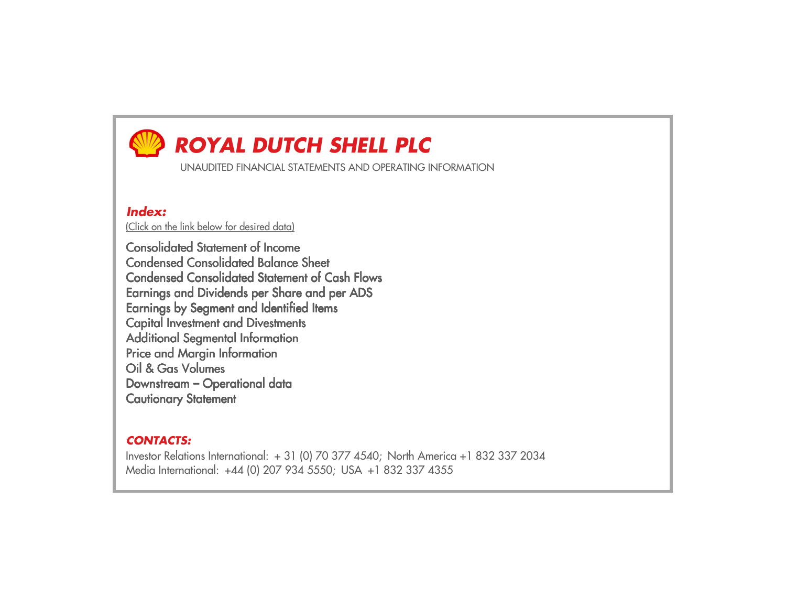# *ROYAL DUTCH SHELL PLC*

UNAUDITED FINANCIAL STATEMENTS AND OPERATING INFORMATION

# *Index:*

(Click on the link below for desired data)

Consolidated Statement of Income Condensed Consolidated Balance Sheet Condensed Consolidated Statement of Cash FlowsEarnings and Dividends per Share and per ADSEarnings by Segment and Identified ItemsCapital Investment and DivestmentsAdditional Segmental InformationPrice and Margin InformationOil & Gas Volumes Downstream – Operational dataCautionary Statement

## *CONTACTS:*

Investor Relations International: + 31 (0) 70 377 4540; North America +1 832 337 2034 Media International: +44 (0) 207 934 5550; USA +1 832 337 4355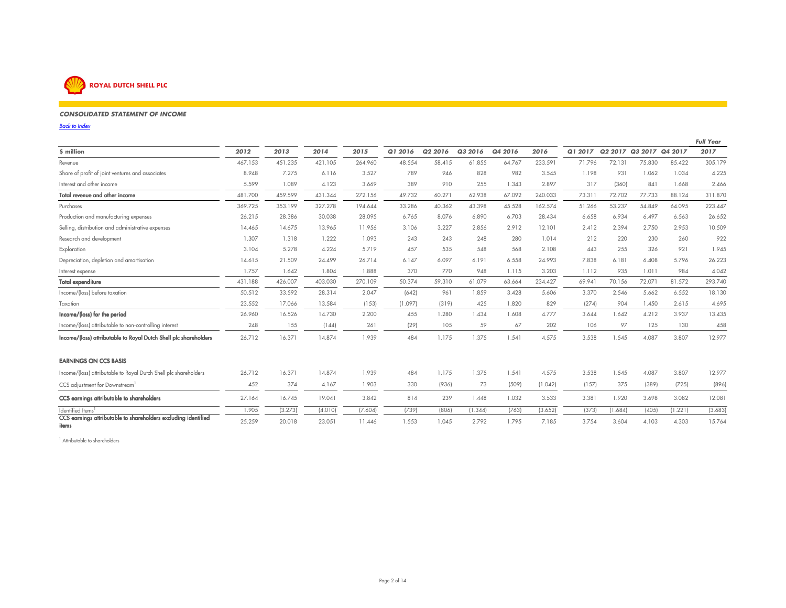

### *CONSOLIDATED STATEMENT OF INCOME*

*Back to Index*

|                                                                         |         |         |         |         |         |         |         |         |         |         |         |                         |         | <b>Full Year</b> |
|-------------------------------------------------------------------------|---------|---------|---------|---------|---------|---------|---------|---------|---------|---------|---------|-------------------------|---------|------------------|
| \$ million                                                              | 2012    | 2013    | 2014    | 2015    | Q1 2016 | Q2 2016 | Q3 2016 | Q4 2016 | 2016    | Q1 2017 |         | Q2 2017 Q3 2017 Q4 2017 |         | 2017             |
| Revenue                                                                 | 467.153 | 451.235 | 421.105 | 264.960 | 48.554  | 58.415  | 61.855  | 64.767  | 233.591 | 71.796  | 72.131  | 75,830                  | 85.422  | 305.179          |
| Share of profit of joint ventures and associates                        | 8.948   | 7.275   | 6.116   | 3.527   | 789     | 946     | 828     | 982     | 3.545   | 1.198   | 931     | 1.062                   | 1.034   | 4.225            |
| Interest and other income                                               | 5.599   | 1.089   | 4.123   | 3.669   | 389     | 910     | 255     | 1.343   | 2.897   | 317     | (360)   | 841                     | 1.668   | 2.466            |
| Total revenue and other income                                          | 481.700 | 459.599 | 431.344 | 272.156 | 49.732  | 60.271  | 62.938  | 67.092  | 240.033 | 73.31   | 72.702  | 77.733                  | 88.124  | 311.870          |
| Purchases                                                               | 369.725 | 353.199 | 327.278 | 194.644 | 33.286  | 40.362  | 43.398  | 45.528  | 162.574 | 51.266  | 53.237  | 54.849                  | 64.095  | 223.447          |
| Production and manufacturing expenses                                   | 26.215  | 28.386  | 30.038  | 28.095  | 6.765   | 8.076   | 6.890   | 6.703   | 28.434  | 6.658   | 6.934   | 6.497                   | 6.563   | 26.652           |
| Selling, distribution and administrative expenses                       | 14.465  | 14.675  | 13.965  | 11.956  | 3.106   | 3.227   | 2.856   | 2.912   | 12.101  | 2.412   | 2.394   | 2.750                   | 2.953   | 10.509           |
| Research and development                                                | 1.307   | 1.318   | 1.222   | 1.093   | 243     | 243     | 248     | 280     | 1.014   | 212     | 220     | 230                     | 260     | 922              |
| Exploration                                                             | 3.104   | 5.278   | 4.224   | 5.719   | 457     | 535     | 548     | 568     | 2.108   | 443     | 255     | 326                     | 921     | 1.945            |
| Depreciation, depletion and amortisation                                | 14.615  | 21.509  | 24.499  | 26.714  | 6.147   | 6.097   | 6.191   | 6.558   | 24.993  | 7.838   | 6.181   | 6.408                   | 5.796   | 26.223           |
| Interest expense                                                        | 1.757   | 1.642   | 1.804   | 1.888   | 370     | 770     | 948     | 1.115   | 3.203   | 1.112   | 935     | 1.011                   | 984     | 4.042            |
| <b>Total expenditure</b>                                                | 431.188 | 426.007 | 403.030 | 270.109 | 50.374  | 59.310  | 61.079  | 63.664  | 234.427 | 69.941  | 70.156  | 72.071                  | 81.572  | 293.740          |
| Income/(loss) before taxation                                           | 50.512  | 33.592  | 28.314  | 2.047   | (642)   | 961     | 1.859   | 3.428   | 5.606   | 3.370   | 2.546   | 5.662                   | 6.552   | 18.130           |
| Taxation                                                                | 23.552  | 17.066  | 13.584  | (153)   | (1.097) | (319)   | 425     | 1.820   | 829     | (274)   | 904     | 1.450                   | 2.615   | 4.695            |
| Income/(loss) for the period                                            | 26.960  | 16.526  | 14.730  | 2.200   | 455     | 1.280   | 1.434   | 1.608   | 4.777   | 3.644   | 1.642   | 4.212                   | 3.937   | 13.435           |
| Income/(loss) attributable to non-controlling interest                  | 248     | 155     | (144)   | 261     | (29)    | 105     | 59      | 67      | 202     | 106     | 97      | 125                     | 130     | 458              |
| Income/(loss) attributable to Royal Dutch Shell plc shareholders        | 26.712  | 16.371  | 14.874  | 1.939   | 484     | 1.175   | 1.375   | 1.541   | 4.575   | 3.538   | 1.545   | 4.087                   | 3.807   | 12.977           |
| <b>EARNINGS ON CCS BASIS</b>                                            |         |         |         |         |         |         |         |         |         |         |         |                         |         |                  |
| Income/(loss) attributable to Royal Dutch Shell plc shareholders        | 26.712  | 16.371  | 14.874  | 1.939   | 484     | 1.175   | 1.375   | 1.541   | 4.575   | 3.538   | 1.545   | 4.087                   | 3.807   | 12.977           |
| CCS adjustment for Downstream <sup>1</sup>                              | 452     | 374     | 4.167   | 1.903   | 330     | (936)   | 73      | (509)   | (1.042) | (157)   | 375     | (389)                   | (725)   | (896)            |
| CCS earnings attributable to shareholders                               | 27.164  | 16.745  | 19.041  | 3.842   | 814     | 239     | 1.448   | 1.032   | 3.533   | 3.381   | 1.920   | 3.698                   | 3.082   | 12.081           |
| Identified Items <sup>1</sup>                                           | 1.905   | (3.273) | (4.010) | (7.604) | (739)   | (806)   | (1.344) | (763)   | (3.652) | (373)   | (1.684) | (405)                   | (1.221) | (3.683)          |
| CCS earnings attributable to shareholders excluding identified<br>items | 25.259  | 20.018  | 23.051  | 11.446  | 1.553   | 1.045   | 2.792   | 1.795   | 7.185   | 3.754   | 3.604   | 4.103                   | 4.303   | 15.764           |

 $\mathcal{P}(\mathcal{P}(\mathcal{P}))$  is a set of the set of the set of the set of the set of the set of the set of the set of the set of the set of the set of the set of the set of the set of the set of the set of the set of the set of t

<sup>1</sup> Attributable to shareholders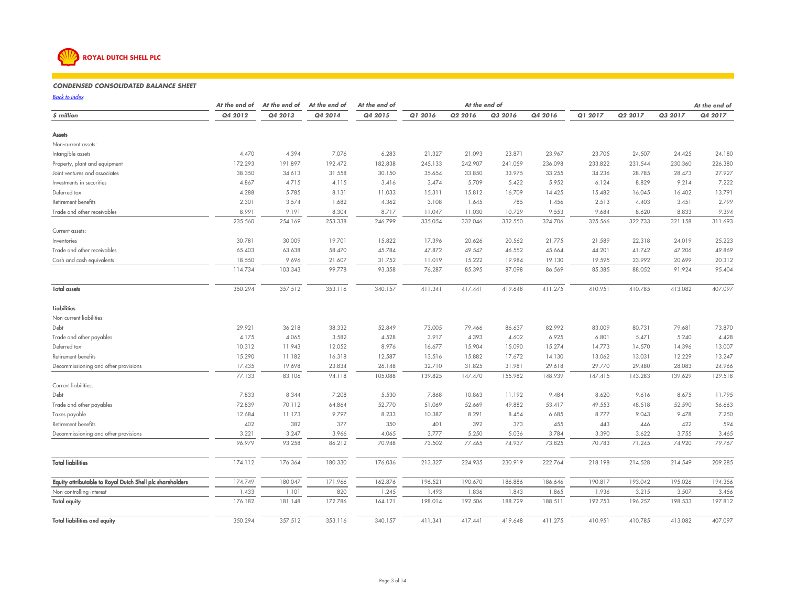

#### *CONDENSED CONSOLIDATED BALANCE SHEET*<sup>80</sup> <sup>90</sup> <sup>100</sup> <sup>110</sup> <sup>117</sup>

*Back to Index*

|                                                           | At the end of   | At the end of   | At the end of   | At the end of   |                 | At the end of   |                 |                 |                 |                 |                 | At the end of   |
|-----------------------------------------------------------|-----------------|-----------------|-----------------|-----------------|-----------------|-----------------|-----------------|-----------------|-----------------|-----------------|-----------------|-----------------|
| \$ million                                                | Q4 2012         | Q4 2013         | Q4 2014         | Q4 2015         | Q1 2016         | Q2 2016         | Q3 2016         | Q4 2016         | Q1 2017         | Q2 2017         | Q3 2017         | Q4 2017         |
| Assets                                                    |                 |                 |                 |                 |                 |                 |                 |                 |                 |                 |                 |                 |
| Non-current assets:                                       |                 |                 |                 |                 |                 |                 |                 |                 |                 |                 |                 |                 |
| Intangible assets                                         | 4.470           | 4.394           | 7.076           | 6.283           | 21.327          | 21.093          | 23.871          | 23.967          | 23.705          | 24.507          | 24.425          | 24.180          |
| Property, plant and equipment                             | 172.293         | 191.897         | 192.472         | 182.838         | 245.133         | 242.907         | 241.059         | 236.098         | 233.822         | 231.544         | 230.360         | 226.380         |
| Joint ventures and associates                             | 38.350          | 34.613          | 31.558          | 30.150          | 35.654          | 33.850          | 33.975          | 33.255          | 34.236          | 28.785          | 28.473          | 27.927          |
| Investments in securities                                 | 4.867           | 4.715           | 4.115           | 3.416           | 3.474           | 5.709           | 5.422           | 5.952           | 6.124           | 8.829           | 9.214           | 7.222           |
| Deferred tax                                              | 4.288           | 5.785           | 8.131           | 11.033          | 15.311          | 15.812          | 16.709          | 14.425          | 15.482          | 16.045          | 16.402          | 13.791          |
| Retirement benefits                                       | 2.301           | 3.574           | 1.682           | 4.362           | 3.108           | 1.645           | 785             | 1.456           | 2.513           | 4.403           | 3.451           | 2.799           |
| Trade and other receivables                               | 8.991           | 9.191           | 8.304           | 8.717           | 11.047          | 11.030          | 10.729          | 9.553           | 9.684           | 8.620           | 8.833           | 9.394           |
|                                                           | 235.560         | 254.169         | 253.338         | 246.799         | 335.054         | 332.046         | 332.550         | 324.706         | 325.566         | 322.733         | 321.158         | 311.693         |
| Current assets:                                           |                 |                 |                 |                 |                 |                 |                 |                 |                 |                 |                 |                 |
| Inventories                                               | 30.781          | 30.009          | 19.701          | 15.822          | 17.396          | 20.626          | 20.562          | 21.775          | 21.589          | 22.318          | 24.019          | 25.223          |
| Trade and other receivables                               | 65.403          | 63.638          | 58.470          | 45.784          | 47.872          | 49.547          | 46.552          | 45.664          | 44.201          | 41.742          | 47.206          | 49.869          |
| Cash and cash equivalents                                 | 18.550          | 9.696           | 21.607          | 31.752          | 11.019          | 15.222          | 19.984          | 19.130          | 19.595          | 23.992          | 20.699          | 20.312          |
|                                                           | 114.734         | 103.343         | 99.778          | 93.358          | 76.287          | 85.395          | 87.098          | 86.569          | 85.385          | 88.052          | 91.924          | 95.404          |
| <b>Total assets</b>                                       | 350.294         | 357.512         | 353.116         | 340.157         | 411.341         | 417.441         | 419.648         | 411.275         | 410.951         | 410.785         | 413.082         | 407.097         |
| <b>Liabilities</b>                                        |                 |                 |                 |                 |                 |                 |                 |                 |                 |                 |                 |                 |
| Non-current liabilities:                                  |                 |                 |                 |                 |                 |                 |                 |                 |                 |                 |                 |                 |
| Debt                                                      | 29.921          | 36.218          | 38.332          | 52.849          | 73.005          | 79.466          | 86.637          | 82.992          | 83.009          | 80.731          | 79.681          | 73.870          |
| Trade and other payables                                  | 4.175           | 4.065           | 3.582           | 4.528           | 3.917           | 4.393           | 4.602           | 6.925           | 6.801           | 5.471           | 5.240           | 4.428           |
| Deferred tax                                              | 10.312          | 11.943          | 12.052          | 8.976           | 16.677          | 15.904          | 15.090          | 15.274          | 14.773          | 14.570          | 14.396          | 13.007          |
| Retirement benefits                                       | 15.290          | 11.182          | 16.318          | 12.587          | 13.516          | 15.882          | 17.672          | 14.130          | 13.062          | 13.031          | 12.229          | 13.247          |
| Decommissioning and other provisions                      | 17.435          | 19.698          | 23.834          | 26.148          | 32.710          | 31.825          | 31.981          | 29.618          | 29.770          | 29.480          | 28.083          | 24.966          |
|                                                           | 77.133          | 83.106          | 94.118          | 105.088         | 139.825         | 147.470         | 155.982         | 148.939         | 147.415         | 143.283         | 139.629         | 129.518         |
| Current liabilities:                                      |                 |                 |                 |                 |                 |                 |                 |                 |                 |                 |                 |                 |
| Debt                                                      | 7.833           | 8.344           | 7.208           | 5.530           | 7.868           | 10.863          | 11.192          | 9.484           | 8.620           | 9.616           | 8.675           | 11.795          |
| Trade and other payables                                  | 72.839          | 70.112          | 64.864          | 52.770          | 51.069          | 52.669          | 49.882          | 53.417          | 49.553          | 48.518          | 52.590          | 56.663          |
| Taxes payable                                             | 12.684          | 11.173          | 9.797           | 8.233           | 10.387          | 8.291           | 8.454           | 6.685           | 8.777           | 9.043           | 9.478           | 7.250           |
| Retirement benefits                                       | 402             | 382             | 377             | 350             | 401             | 392             | 373             | 455             | 443             | 446             | 422             | 594             |
| Decommissioning and other provisions                      | 3.221<br>96.979 | 3.247<br>93.258 | 3.966<br>86.212 | 4.065<br>70.948 | 3.777<br>73.502 | 5.250<br>77.465 | 5.036<br>74.937 | 3.784<br>73.825 | 3.390<br>70.783 | 3.622<br>71.245 | 3.755<br>74.920 | 3.465<br>79.767 |
|                                                           |                 |                 |                 |                 |                 |                 |                 |                 |                 |                 |                 |                 |
| <b>Total liabilities</b>                                  | 174.112         | 176.364         | 180.330         | 176.036         | 213.327         | 224.935         | 230.919         | 222.764         | 218.198         | 214.528         | 214.549         | 209.285         |
| Equity attributable to Royal Dutch Shell plc shareholders | 174.749         | 180.047         | 171.966         | 162.876         | 196.521         | 190.670         | 186.886         | 186.646         | 190.817         | 193.042         | 195.026         | 194.356         |
| Non-controlling interest                                  | 1.433           | 1.101           | 820             | 1.245           | 1.493           | 1.836           | 1.843           | 1.865           | 1.936           | 3.215           | 3.507           | 3.456           |
| <b>Total equity</b>                                       | 176.182         | 181.148         | 172.786         | 164.121         | 198.014         | 192.506         | 188.729         | 188.511         | 192.753         | 196.257         | 198.533         | 197.812         |
| <b>Total liabilities and equity</b>                       | 350.294         | 357.512         | 353.116         | 340.157         | 411.341         | 417.441         | 419.648         | 411.275         | 410.951         | 410.785         | 413.082         | 407.097         |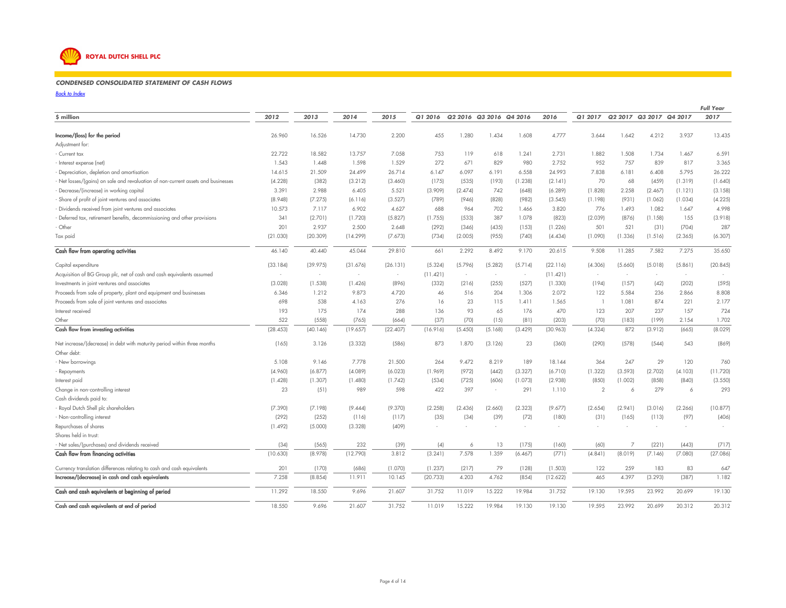# **ROYAL DUTCH SHELL PLC**

#### *CONDENSED CONSOLIDATED STATEMENT OF CASH FLOWS*<sup>80</sup> <sup>90</sup> <sup>100</sup> <sup>110</sup> <sup>112</sup>

*Back to Index*

|                                                                                 |          |          |          |          |          |         |                          |         |          |                |                         |         |         | <b>Full Year</b> |
|---------------------------------------------------------------------------------|----------|----------|----------|----------|----------|---------|--------------------------|---------|----------|----------------|-------------------------|---------|---------|------------------|
| \$ million                                                                      | 2012     | 2013     | 2014     | 2015     | Q1 2016  |         | Q2 2016 Q3 2016 Q4 2016  |         | 2016     | Q1 2017        | Q2 2017 Q3 2017 Q4 2017 |         |         | 2017             |
| Income/(loss) for the period                                                    | 26.960   | 16.526   | 14.730   | 2.200    | 455      | 1.280   | 1.434                    | 1.608   | 4.777    | 3.644          | 1.642                   | 4.212   | 3.937   | 13.435           |
| Adjustment for:                                                                 |          |          |          |          |          |         |                          |         |          |                |                         |         |         |                  |
| Current tax                                                                     | 22.722   | 18.582   | 13.757   | 7.058    | 753      | 119     | 618                      | 1.241   | 2.731    | 1.882          | 1.508                   | 1.734   | 1.467   | 6.591            |
| Interest expense (net)                                                          | 1.543    | 1.448    | 1.598    | 1.529    | 272      | 671     | 829                      | 980     | 2.752    | 952            | 757                     | 839     | 817     | 3.365            |
| Depreciation, depletion and amortisation                                        | 14.615   | 21.509   | 24.499   | 26.714   | 6.147    | 6.097   | 6.191                    | 6.558   | 24.993   | 7.838          | 6.181                   | 6.408   | 5.795   | 26.222           |
| Net losses/(gains) on sale and revaluation of non-current assets and businesses | (4.228)  | (382)    | (3.212)  | (3.460)  | (175)    | (535)   | (193)                    | (1.238) | (2.141)  | 70             | 68                      | (459)   | (1.319) | (1.640)          |
| Decrease/(increase) in working capital                                          | 3.391    | 2.988    | 6.405    | 5.521    | (3.909)  | (2.474) | 742                      | (648)   | (6.289)  | (1.828)        | 2.258                   | (2.467) | (1.121) | (3.158)          |
| Share of profit of joint ventures and associates                                | (8.948)  | (7.275)  | (6.116)  | (3.527)  | (789)    | (946)   | (828)                    | (982)   | (3.545)  | (1.198)        | (931)                   | (1.062) | (1.034) | (4.225)          |
| Dividends received from joint ventures and associates                           | 10.573   | 7.117    | 6.902    | 4.627    | 688      | 964     | 702                      | 1.466   | 3.820    | 776            | 1.493                   | 1.082   | 1.647   | 4.998            |
| Deferred tax, retirement benefits, decommissioning and other provisions         | 341      | (2.701)  | (1.720)  | (5.827)  | (1.755)  | (533)   | 387                      | 1.078   | (823)    | (2.039)        | (876)                   | (1.158) | 155     | (3.918)          |
| · Other                                                                         | 201      | 2.937    | 2.500    | 2.648    | (292)    | (346)   | (435)                    | (153)   | (1.226)  | 501            | 521                     | (31)    | (704)   | 287              |
| Tax paid                                                                        | (21.030) | (20.309) | (14.299) | (7.673)  | (734)    | (2.005) | (955)                    | (740)   | (4.434)  | (1.090)        | (1.336)                 | (1.516) | (2.365) | (6.307)          |
| Cash flow from operating activities                                             | 46.140   | 40.440   | 45.044   | 29.810   | 661      | 2.292   | 8.492                    | 9.170   | 20.615   | 9.508          | 11.285                  | 7.582   | 7.275   | 35.650           |
| Capital expenditure                                                             | (33.184) | (39.975) | (31.676) | (26.131) | (5.324)  | (5.796) | (5.282)                  | (5.714) | (22.116) | (4.306)        | (5.660)                 | (5.018) | (5.861) | (20.845)         |
| Acquisition of BG Group plc, net of cash and cash equivalents assumed           | $\sim$   | $\sim$   | $\sim$   | $\sim$   | (11.421) | $\sim$  | ÷.                       | $\sim$  | (11.421) | $\sim$         | $\sim$                  | $\sim$  | $\sim$  |                  |
| Investments in joint ventures and associates                                    | (3.028)  | (1.538)  | (1.426)  | (896)    | (332)    | (216)   | (255)                    | (527)   | (1.330)  | (194)          | (157)                   | (42)    | (202)   | (595)            |
| Proceeds from sale of property, plant and equipment and businesses              | 6.346    | 1.212    | 9.873    | 4.720    | 46       | 516     | 204                      | 1.306   | 2.072    | 122            | 5.584                   | 236     | 2.866   | 8.808            |
| Proceeds from sale of joint ventures and associates                             | 698      | 538      | 4.163    | 276      | 16       | 23      | 115                      | 1.411   | 1.565    | $\overline{1}$ | 1.081                   | 874     | 221     | 2.177            |
| Interest received                                                               | 193      | 175      | 174      | 288      | 136      | 93      | 65                       | 176     | 470      | 123            | 207                     | 237     | 157     | 724              |
| Other                                                                           | 522      | (558)    | (765)    | (664)    | (37)     | (70)    | (15)                     | (81)    | (203)    | (70)           | (183)                   | (199)   | 2.154   | 1.702            |
| Cash flow from investing activities                                             | (28.453) | (40.146) | (19.657) | (22.407) | (16.916) | (5.450) | (5.168)                  | (3.429) | (30.963) | (4.324)        | 872                     | (3.912) | (665)   | (8.029)          |
| Net increase/(decrease) in debt with maturity period within three months        | (165)    | 3.126    | (3.332)  | (586)    | 873      | 1.870   | (3.126)                  | 23      | (360)    | (290)          | (578)                   | (544)   | 543     | (869)            |
| Other debt:                                                                     |          |          |          |          |          |         |                          |         |          |                |                         |         |         |                  |
| - New borrowings                                                                | 5.108    | 9.146    | 7.778    | 21.500   | 264      | 9.472   | 8.219                    | 189     | 18.144   | 364            | 247                     | 29      | 120     | 760              |
| Repayments                                                                      | (4.960)  | (6.877)  | (4.089)  | (6.023)  | (1.969)  | (972)   | (442)                    | (3.327) | (6.710)  | (1.322)        | (3.593)                 | (2.702) | (4.103) | (11.720)         |
| Interest paid                                                                   | (1.428)  | (1.307)  | (1.480)  | (1.742)  | (534)    | (725)   | (606)                    | (1.073) | (2.938)  | (850)          | (1.002)                 | (858)   | (840)   | (3.550)          |
| Change in non-controlling interest                                              | 23       | (51)     | 989      | 598      | 422      | 397     | $\overline{\phantom{a}}$ | 291     | 1.110    | $\mathcal{P}$  | 6                       | 279     | 6       | 293              |
| Cash dividends paid to:                                                         |          |          |          |          |          |         |                          |         |          |                |                         |         |         |                  |
| - Royal Dutch Shell plc shareholders                                            | (7.390)  | (7.198)  | (9.444)  | (9.370)  | (2.258)  | (2.436) | (2.660)                  | (2.323) | (9.677)  | (2.654)        | (2.941)                 | (3.016) | (2.266) | (10.877)         |
| - Non-controlling interest                                                      | (292)    | (252)    | (116)    | (117)    | (35)     | (34)    | (39)                     | (72)    | (180)    | (31)           | (165)                   | (113)   | (97)    | (406)            |
| Repurchases of shares                                                           | (1.492)  | (5.000)  | (3.328)  | (409)    |          |         |                          | ÷       |          |                |                         |         |         |                  |
| Shares held in trust:                                                           |          |          |          |          |          |         |                          |         |          |                |                         |         |         |                  |
| - Net sales/(purchases) and dividends received                                  | (34)     | (565)    | 232      | (39)     | (4)      | 6       | 13                       | (175)   | (160)    | (60)           | 7                       | (221)   | (443)   | (717)            |
| Cash flow from financing activities                                             | (10.630) | (8.978)  | (12.790) | 3.812    | (3.241)  | 7.578   | 1.359                    | (6.467) | (771)    | (4.841)        | (8.019)                 | (7.146) | (7.080) | (27.086)         |
| Currency translation differences relating to cash and cash equivalents          | 201      | (170)    | (686)    | (1.070)  | (1.237)  | (217)   | 79                       | (128)   | (1.503)  | 122            | 259                     | 183     | 83      | 647              |
| Increase/(decrease) in cash and cash equivalents                                | 7.258    | (8.854)  | 11.911   | 10.145   | (20.733) | 4.203   | 4.762                    | (854)   | (12.622) | 465            | 4.397                   | (3.293) | (387)   | 1.182            |
| Cash and cash equivalents at beginning of period                                | 11.292   | 18.550   | 9.696    | 21.607   | 31.752   | 11.019  | 15.222                   | 19.984  | 31.752   | 19.130         | 19.595                  | 23.992  | 20.699  | 19.130           |
| Cash and cash equivalents at end of period                                      | 18.550   | 9.696    | 21.607   | 31.752   | 11.019   | 15.222  | 19.984                   | 19.130  | 19.130   | 19.595         | 23.992                  | 20.699  | 20.312  | 20.312           |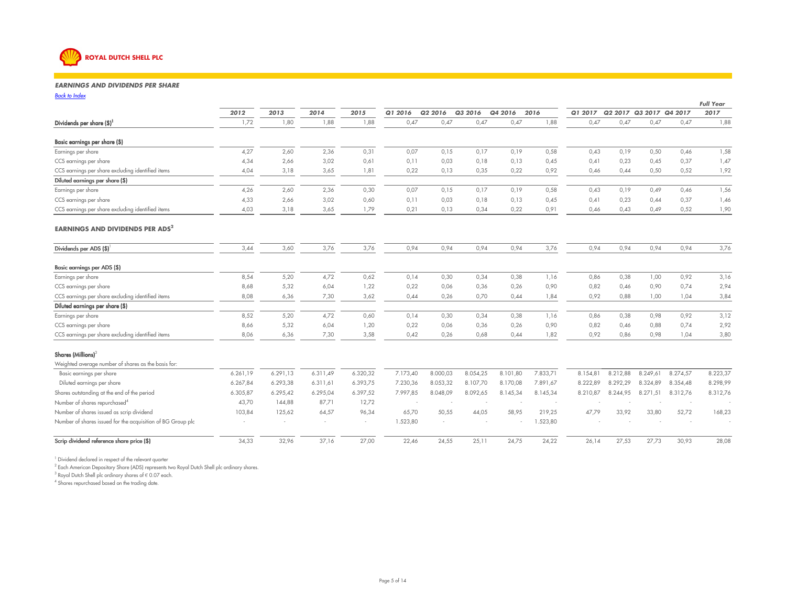

#### *EARNINGS AND DIVIDENDS PER SHARE*<sup>80</sup> <sup>90</sup> <sup>100</sup> <sup>110</sup> <sup>52</sup>

*Back to Index* $\mathbf{x}$ 

| <b>Back to Index</b>                                        |          |          |          |                |          |          |          |          |          |          |                         |          |          | <b>Full Year</b> |
|-------------------------------------------------------------|----------|----------|----------|----------------|----------|----------|----------|----------|----------|----------|-------------------------|----------|----------|------------------|
|                                                             | 2012     | 2013     | 2014     | 2015           | Q1 2016  | Q2 2016  | Q3 2016  | Q4 2016  | 2016     | Q1 2017  | Q2 2017 Q3 2017 Q4 2017 |          |          | 2017             |
| Dividends per share $(\$)^1$                                | 1,72     | 1,80     | 1,88     | 1,88           | 0,47     | 0,47     | 0,47     | 0,47     | 1,88     | 0,47     | 0,47                    | 0,47     | 0,47     | 1,88             |
| Basic earnings per share (\$)                               |          |          |          |                |          |          |          |          |          |          |                         |          |          |                  |
| Earnings per share                                          | 4,27     | 2,60     | 2,36     | 0,31           | 0,07     | 0,15     | 0,17     | 0,19     | 0,58     | 0,43     | 0,19                    | 0,50     | 0,46     | 1,58             |
| CCS earnings per share                                      | 4,34     | 2,66     | 3,02     | 0,61           | 0,11     | 0,03     | 0,18     | 0,13     | 0,45     | 0,41     | 0,23                    | 0,45     | 0,37     | 1,47             |
| CCS earnings per share excluding identified items           | 4,04     | 3,18     | 3,65     | 1,81           | 0,22     | 0,13     | 0,35     | 0,22     | 0,92     | 0,46     | 0.44                    | 0,50     | 0,52     | 1,92             |
| Diluted earnings per share (\$)                             |          |          |          |                |          |          |          |          |          |          |                         |          |          |                  |
| Earnings per share                                          | 4,26     | 2,60     | 2,36     | 0,30           | 0,07     | 0,15     | 0,17     | 0,19     | 0,58     | 0,43     | 0,19                    | 0,49     | 0,46     | 1,56             |
| CCS earnings per share                                      | 4,33     | 2,66     | 3,02     | 0,60           | 0,11     | 0,03     | 0,18     | 0,13     | 0,45     | 0,41     | 0,23                    | 0,44     | 0,37     | 1,46             |
| CCS earnings per share excluding identified items           | 4,03     | 3,18     | 3,65     | 1,79           | 0,21     | 0,13     | 0,34     | 0,22     | 0,91     | 0,46     | 0,43                    | 0,49     | 0,52     | 1,90             |
| <b>EARNINGS AND DIVIDENDS PER ADS<sup>2</sup></b>           |          |          |          |                |          |          |          |          |          |          |                         |          |          |                  |
| Dividends per ADS (\$)                                      | 3,44     | 3,60     | 3,76     | 3,76           | 0,94     | 0,94     | 0,94     | 0,94     | 3,76     | 0,94     | 0,94                    | 0,94     | 0,94     | 3,76             |
| Basic earnings per ADS (\$)                                 |          |          |          |                |          |          |          |          |          |          |                         |          |          |                  |
| Earnings per share                                          | 8,54     | 5,20     | 4,72     | 0,62           | 0,14     | 0,30     | 0,34     | 0,38     | 1,16     | 0,86     | 0,38                    | 1,00     | 0,92     | 3,16             |
| CCS earnings per share                                      | 8,68     | 5,32     | 6,04     | 1,22           | 0,22     | 0,06     | 0,36     | 0,26     | 0,90     | 0,82     | 0,46                    | 0,90     | 0,74     | 2,94             |
| CCS earnings per share excluding identified items           | 8,08     | 6,36     | 7,30     | 3,62           | 0.44     | 0,26     | 0.70     | 0.44     | 1,84     | 0,92     | 0.88                    | 1,00     | 1,04     | 3,84             |
| Diluted earnings per share (\$)                             |          |          |          |                |          |          |          |          |          |          |                         |          |          |                  |
| Earnings per share                                          | 8,52     | 5,20     | 4,72     | 0,60           | 0,14     | 0,30     | 0,34     | 0,38     | 1,16     | 0,86     | 0,38                    | 0,98     | 0,92     | 3,12             |
| CCS earnings per share                                      | 8,66     | 5,32     | 6,04     | 1,20           | 0,22     | 0,06     | 0,36     | 0,26     | 0,90     | 0,82     | 0,46                    | 0,88     | 0,74     | 2,92             |
| CCS earnings per share excluding identified items           | 8,06     | 6,36     | 7,30     | 3,58           | 0,42     | 0,26     | 0,68     | 0,44     | 1,82     | 0,92     | 0,86                    | 0,98     | 1,04     | 3,80             |
| Shares (Millions) $3$                                       |          |          |          |                |          |          |          |          |          |          |                         |          |          |                  |
| Weighted average number of shares as the basis for:         |          |          |          |                |          |          |          |          |          |          |                         |          |          |                  |
| Basic earnings per share                                    | 6.261,19 | 6.291.13 | 6.311,49 | 6.320,32       | 7.173,40 | 8.000,03 | 8.054,25 | 8.101,80 | 7.833,71 | 8.154.81 | 8.212,88                | 8.249,61 | 8.274,57 | 8.223,37         |
| Diluted earnings per share                                  | 6.267,84 | 6.293,38 | 6.311,61 | 6.393,75       | 7.230,36 | 8.053,32 | 8.107,70 | 8.170,08 | 7.891,67 | 8.222,89 | 8.292,29                | 8.324,89 | 8.354,48 | 8.298,99         |
| Shares outstanding at the end of the period                 | 6.305,87 | 6.295,42 | 6.295,04 | 6.397,52       | 7.997,85 | 8.048,09 | 8.092,65 | 8.145,34 | 8.145,34 | 8.210,87 | 8.244,95                | 8.271,51 | 8.312,76 | 8.312,76         |
| Number of shares repurchased <sup>4</sup>                   | 43,70    | 144,88   | 87.71    | 12,72          |          |          |          |          |          |          |                         |          |          |                  |
| Number of shares issued as scrip dividend                   | 103,84   | 125,62   | 64,57    | 96,34          | 65,70    | 50,55    | 44,05    | 58,95    | 219,25   | 47.79    | 33,92                   | 33,80    | 52,72    | 168,23           |
| Number of shares issued for the acquisition of BG Group plc |          |          |          | $\overline{a}$ | 1.523,80 |          |          |          | 1.523,80 |          |                         |          |          |                  |
| Scrip dividend reference share price (\$)                   | 34,33    | 32,96    | 37,16    | 27,00          | 22,46    | 24,55    | 25,11    | 24,75    | 24,22    | 26,14    | 27,53                   | 27,73    | 30,93    | 28,08            |

<sup>1</sup> Dividend declared in respect of the relevant quarter

 $^2$  Each American Depositary Share (ADS) represents two Royal Dutch Shell plc ordinary shares.

<sup>3</sup> Royal Dutch Shell plc ordinary shares of  $\epsilon$  0.07 each.<br><sup>4</sup> Shares repurchased based on the trading date.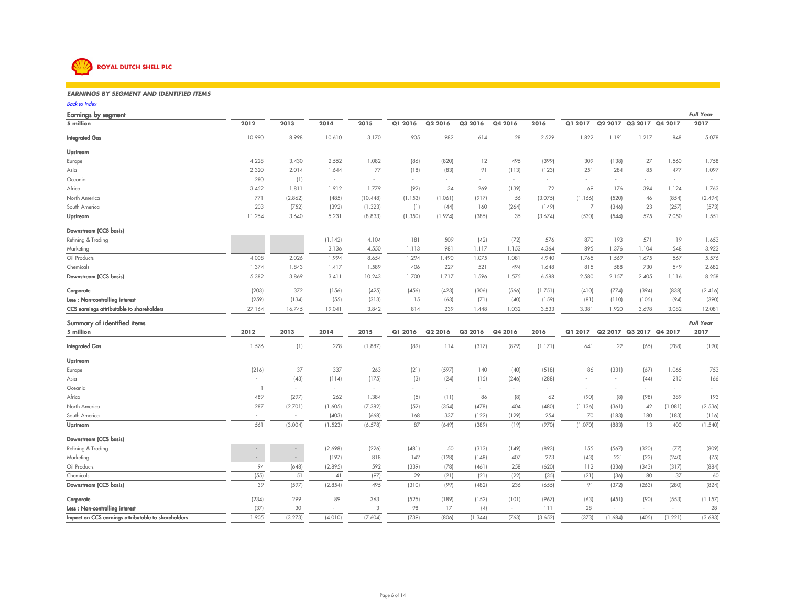

Impact on CCS earnings attributable to shareholders

#### *EARNINGS BY SEGMENT AND IDENTIFIED ITEMS* $\mathcal{S}$

### *Back to Index*

Earnings by segment *Full Year*2017 **\$ million** $\overline{2012}$   $\overline{2013}$   $\overline{2014}$   $\overline{2015}$   $\overline{Q12016}$   $\overline{Q22016}$   $\overline{Q32016}$   $\overline{Q42016}$   $\overline{2016}$   $\overline{Q12017}$   $\overline{Q22017}$   $\overline{Q32017}$   $\overline{Q42017}$ Integrated Gas 10.990 8.998 10.610 3.170 <sup>905</sup> <sup>982</sup> <sup>614</sup> <sup>28</sup> 2.529 1.822 1.191 1.217 <sup>848</sup> 5.078UpstreamEurope 4.228 3.430 2.552 1.082 (86) (820) <sup>12</sup> <sup>495</sup> (399) <sup>309</sup> (138) <sup>27</sup> 1.560 1.7581.097 Asia 2.320 2.014 1.644 <sup>77</sup> (18) (83) <sup>91</sup> (113) (123) <sup>251</sup> <sup>284</sup> <sup>85</sup> <sup>477</sup> 1.097Oceaniaa and  $280$  (1)  $\rightarrow$  -  $\rightarrow$  -  $\rightarrow$  -  $\rightarrow$  -  $\rightarrow$  -  $\rightarrow$  -  $\rightarrow$  -  $\rightarrow$  -  $\rightarrow$  -  $\rightarrow$  -  $\rightarrow$ Africa 3.452 1.811 1.912 1.779 (92) <sup>34</sup> <sup>269</sup> (139) <sup>72</sup> <sup>69</sup> <sup>176</sup> <sup>394</sup> 1.124 1.763 $(2.494)$ North America <sup>771</sup> (2.862) (485) (10.448) (1.153) (1.061) (917) <sup>56</sup> (3.075) (1.166) (520) <sup>46</sup> (854) (2.494) South America <sup>203</sup> (752) (392) (1.323) (1) (44) <sup>160</sup> (264) (149) <sup>7</sup> (346) <sup>23</sup> (257) (573) Upstream 11.254 3.640 5.231 (8.833) (1.350) (1.974) (385) <sup>35</sup> (3.674) (530) (544) <sup>575</sup> 2.050 1.551 Downstream (CCS basis)Refining & Trading (1.142) 4.104 <sup>181</sup> <sup>509</sup> (42) (72) <sup>576</sup> <sup>870</sup> <sup>193</sup> <sup>571</sup> <sup>19</sup> 1.6533.923 Marketing 3.136 4.550 1.113 <sup>981</sup> 1.117 1.153 4.364 <sup>895</sup> 1.376 1.104 <sup>548</sup> 3.9235.576 Oil Products 4.008 2.026 1.994 8.654 1.294 1.490 1.075 1.081 4.940 1.765 1.569 1.675 <sup>567</sup> 5.5762.682 **Chemicals**  1.374 1.843 1.417 1.589 <sup>406</sup> <sup>227</sup> <sup>521</sup> <sup>494</sup> 1.648 <sup>815</sup> <sup>588</sup> <sup>730</sup> <sup>549</sup> 2.6828.258 Downstream (CCS basis) 5.382 3.869 3.411 10.243 1.700 1.717 1.596 1.575 6.588 2.580 2.157 2.405 1.116 8.258 Corporate (203) <sup>372</sup> (156) (425) (456) (423) (306) (566) (1.751) (410) (774) (394) (838) (2.416) Less : Non-controlling interest (259) (134) (55) (313) <sup>15</sup> (63) (71) (40) (159) (81) (110) (105) (94) (390) CCS earnings attributable to shareholders 27.164 16.745 19.041 3.842 <sup>814</sup> <sup>239</sup> 1.448 1.032 3.533 3.381 1.920 3.698 3.082 12.081Summary of identified items *Full Year* **\$ million**2012 2013 2014 2015 Q1 2016 Q2 2016 Q3 2016 Q4 2016 2016 Q1 2017 Q2 2017 Q3 2017 Q4 2017 2017 Integrated Gas 1.576 (1) <sup>278</sup> (1.887) (89) <sup>114</sup> (317) (879) (1.171) <sup>641</sup> <sup>22</sup> (65) (788) (190) UpstreamEurope (216) <sup>37</sup> <sup>337</sup> <sup>263</sup> (21) (597) <sup>140</sup> (40) (518) <sup>86</sup> (331) (67) 1.065 <sup>753</sup>166 Asia - (43) (114) (175) (3) (24) (15) (246) (288) - - (44) <sup>210</sup> <sup>166</sup>Oceania <sup>1</sup> - - - - - - - - - - - - - Africa <sup>489</sup> (297) <sup>262</sup> 1.384 (5) (11) <sup>86</sup> (8) <sup>62</sup> (90) (8) (98) <sup>389</sup> <sup>193</sup> $(2.536)$ North America <sup>287</sup> (2.701) (1.605) (7.382) (52) (354) (478) <sup>404</sup> (480) (1.136) (361) <sup>42</sup> (1.081) (2.536) South America- - - - - - - - (403) (668) 168 337 (122) (129) 254 70 (183) 180 (183) (116) (183) (116) Upstream <sup>561</sup> (3.004) (1.523) (6.578) <sup>87</sup> (649) (389) (19) (970) (1.070) (883) <sup>13</sup> <sup>400</sup> (1.540) Downstream (CCS basis) Refining & Trading - - (2.698) (226) (481) <sup>50</sup> (313) (149) (893) <sup>155</sup> (567) (320) (77) (809) Marketing- (197) 818 142 (128) (148) 407 273 (43) 231 (23) (240) (75) (29) (148) (148) 407 (273) (43) 231 (23) (240) (75) Oil Products <sup>94</sup> (648) (2.895) <sup>592</sup> (339) (78) (461) <sup>258</sup> (620) <sup>112</sup> (336) (343) (317) (884) Chemicals (55) <sup>51</sup> <sup>41</sup> (97) <sup>29</sup> (21) (21) (22) (35) (21) (36) <sup>80</sup> <sup>37</sup> <sup>60</sup> $(824)$ Downstream (CCS basis) <sup>39</sup> (597) (2.854) <sup>495</sup> (310) (99) (482) <sup>236</sup> (655) <sup>91</sup> (372) (263) (280) (824) Corporate(234) 299 89 363 (525) (189) (152) (101) (967) (63) (451) (90) (553) (1.157)

**Less : Non-controlling interest** (37) 30 - 3 98 17 (4) - 111 28 - - 28 - 28

1.905 (3.273) (4.010) (7.604) (739) (806) (1.344) (763) (3.652) (373) (1.684) (405) (1.221) (3.683)

 $(3.683)$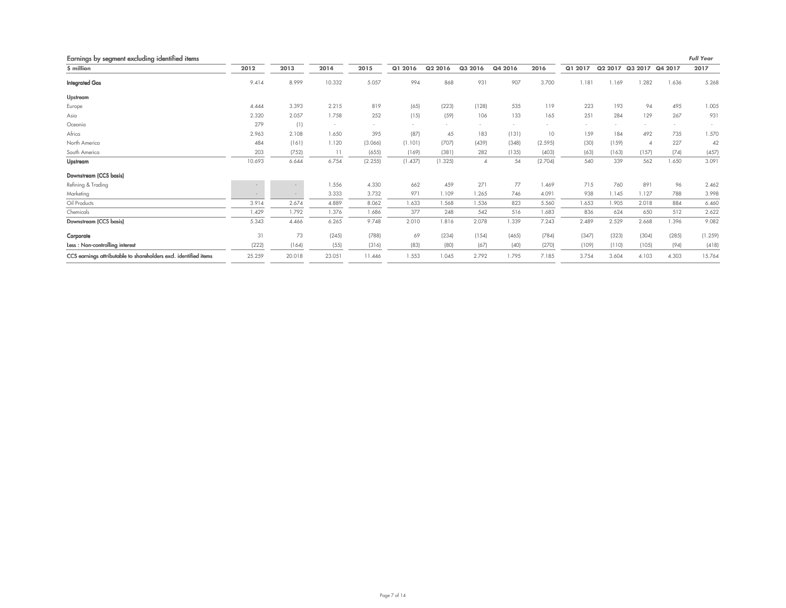| Earnings by segment excluding identified items                   |        |        |                          |         |         |         |          |         |         |         |       |                         |       | <b>Full Year</b> |
|------------------------------------------------------------------|--------|--------|--------------------------|---------|---------|---------|----------|---------|---------|---------|-------|-------------------------|-------|------------------|
| \$ million                                                       | 2012   | 2013   | 2014                     | 2015    | Q1 2016 | Q2 2016 | Q3 2016  | Q4 2016 | 2016    | Q1 2017 |       | Q2 2017 Q3 2017 Q4 2017 |       | 2017             |
| <b>Integrated Gas</b>                                            | 9.414  | 8.999  | 10.332                   | 5.057   | 994     | 868     | 931      | 907     | 3.700   | 1.181   | 1.169 | 1.282                   | 1.636 | 5.268            |
| Upstream                                                         |        |        |                          |         |         |         |          |         |         |         |       |                         |       |                  |
| Europe                                                           | 4.444  | 3.393  | 2.215                    | 819     | (65)    | (223)   | (128)    | 535     | 119     | 223     | 193   | 94                      | 495   | 1.005            |
| Asia                                                             | 2.320  | 2.057  | 1.758                    | 252     | (15)    | (59)    | 106      | 133     | 165     | 251     | 284   | 129                     | 267   | 931              |
| Oceania                                                          | 279    | (1)    | $\overline{\phantom{a}}$ | $\sim$  |         |         |          | ٠       |         | $\sim$  |       | $\sim$                  |       |                  |
| Africa                                                           | 2.963  | 2.108  | 1.650                    | 395     | (87)    | 45      | 183      | (131)   | 10      | 159     | 184   | 492                     | 735   | 1.570            |
| North America                                                    | 484    | (161)  | 1.120                    | (3.066) | (1.101) | (707)   | (439)    | (348)   | (2.595) | (30)    | (159) |                         | 227   | 42               |
| South America                                                    | 203    | (752)  | 11                       | (655)   | (169)   | (381)   | 282      | (135)   | (403)   | (63)    | (163) | (157)                   | (74)  | (457)            |
| Upstream                                                         | 10.693 | 6.644  | 6.754                    | (2.255) | (1.437) | (1.325) | $\Delta$ | 54      | (2.704) | 540     | 339   | 562                     | 1.650 | 3.091            |
| Downstream (CCS basis)                                           |        |        |                          |         |         |         |          |         |         |         |       |                         |       |                  |
| Refining & Trading                                               |        |        | 1.556                    | 4.330   | 662     | 459     | 271      | 77      | 1.469   | 715     | 760   | 891                     | 96    | 2.462            |
| Marketing                                                        |        |        | 3.333                    | 3.732   | 971     | 1.109   | 1.265    | 746     | 4.091   | 938     | 1.145 | 1.127                   | 788   | 3.998            |
| Oil Products                                                     | 3.914  | 2.674  | 4.889                    | 8.062   | 1.633   | 1.568   | 1.536    | 823     | 5.560   | 1.653   | 1.905 | 2.018                   | 884   | 6.460            |
| Chemicals                                                        | 1.429  | 1.792  | 1.376                    | 1.686   | 377     | 248     | 542      | 516     | 1.683   | 836     | 624   | 650                     | 512   | 2.622            |
| Downstream (CCS basis)                                           | 5.343  | 4.466  | 6.265                    | 9.748   | 2.010   | 1.816   | 2.078    | 1.339   | 7.243   | 2.489   | 2.529 | 2.668                   | 1.396 | 9.082            |
| Corporate                                                        | 31     | 73     | (245)                    | (788)   | 69      | (234)   | (154)    | (465)   | (784)   | (347)   | (323) | (304)                   | (285) | (1.259)          |
| Less: Non-controlling interest                                   | (222)  | (164)  | (55)                     | (316)   | (83)    | (80)    | (67)     | (40)    | (270)   | (109)   | (110) | (105)                   | (94)  | (418)            |
| CCS earnings attributable to shareholders excl. identified items | 25.259 | 20.018 | 23.051                   | 11.446  | 1.553   | 1.045   | 2.792    | 1.795   | 7.185   | 3.754   | 3.604 | 4.103                   | 4.303 | 15.764           |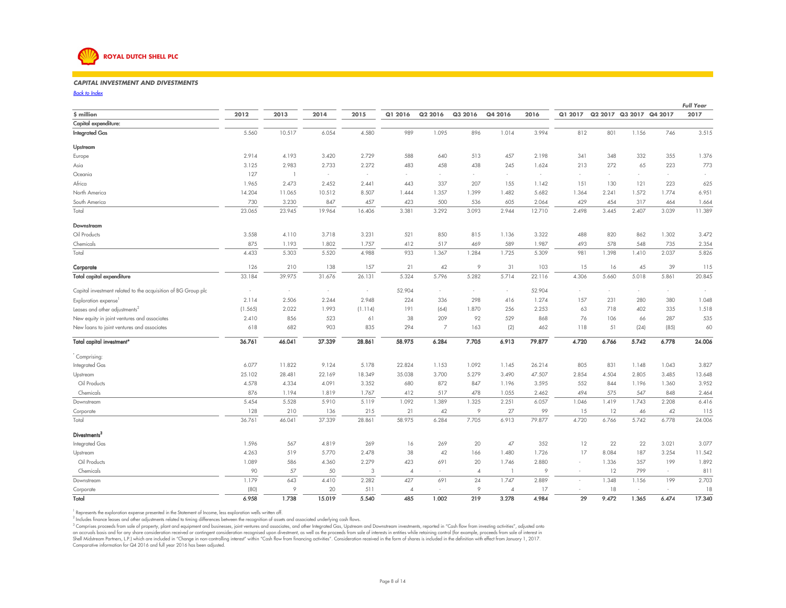

#### *CAPITAL INVESTMENT AND DIVESTMENTS* $\mathcal{S}$

*Back to Index*

|                                                               |         |                |        |         |                |                |                |                |        |         |                     |                 |        | <b>Full Year</b> |
|---------------------------------------------------------------|---------|----------------|--------|---------|----------------|----------------|----------------|----------------|--------|---------|---------------------|-----------------|--------|------------------|
| \$ million                                                    | 2012    | 2013           | 2014   | 2015    | Q1 2016        | Q2 2016        | Q3 2016        | Q4 2016        | 2016   | Q1 2017 | Q <sub>2</sub> 2017 | Q3 2017 Q4 2017 |        | 2017             |
| Capital expenditure:                                          |         |                |        |         |                |                |                |                |        |         |                     |                 |        |                  |
| <b>Integrated Gas</b>                                         | 5.560   | 10.517         | 6.054  | 4.580   | 989            | 1.095          | 896            | 1.014          | 3.994  | 812     | 801                 | 1.156           | 746    | 3.515            |
| Upstream                                                      |         |                |        |         |                |                |                |                |        |         |                     |                 |        |                  |
| Europe                                                        | 2.914   | 4.193          | 3.420  | 2.729   | 588            | 640            | 513            | 457            | 2.198  | 341     | 348                 | 332             | 355    | 1.376            |
| Asia                                                          | 3.125   | 2.983          | 2.733  | 2.272   | 483            | 458            | 438            | 245            | 1.624  | 213     | 272                 | 65              | 223    | 773              |
| Oceania                                                       | 127     | $\overline{1}$ | $\sim$ | $\sim$  | $\sim$         |                | $\sim$         | $\sim$         | $\sim$ | $\sim$  | $\sim$              | $\sim$          | ×.     |                  |
| Africa                                                        | 1.965   | 2.473          | 2.452  | 2.441   | 443            | 337            | 207            | 155            | 1.142  | 151     | 130                 | 121             | 223    | 625              |
| North America                                                 | 14.204  | 11.065         | 10.512 | 8.507   | 1.444          | 1.357          | 1.399          | 1.482          | 5.682  | 1.364   | 2.241               | 1.572           | 1.774  | 6.951            |
| South America                                                 | 730     | 3.230          | 847    | 457     | 423            | 500            | 536            | 605            | 2.064  | 429     | 454                 | 317             | 464    | 1.664            |
| Total                                                         | 23.065  | 23.945         | 19.964 | 16.406  | 3.381          | 3.292          | 3.093          | 2.944          | 12.710 | 2.498   | 3.445               | 2.407           | 3.039  | 11.389           |
| Downstream                                                    |         |                |        |         |                |                |                |                |        |         |                     |                 |        |                  |
| Oil Products                                                  | 3.558   | 4.110          | 3.718  | 3.231   | 521            | 850            | 815            | 1.136          | 3.322  | 488     | 820                 | 862             | 1.302  | 3.472            |
| Chemicals                                                     | 875     | 1.193          | 1.802  | 1.757   | 412            | 517            | 469            | 589            | 1.987  | 493     | 578                 | 548             | 735    | 2.354            |
| Total                                                         | 4.433   | 5.303          | 5.520  | 4.988   | 933            | 1.367          | 1.284          | 1.725          | 5.309  | 981     | 1.398               | 1.410           | 2.037  | 5.826            |
| Corporate                                                     | 126     | 210            | 138    | 157     | 21             | 42             | 9              | 31             | 103    | 15      | 16                  | 45              | 39     | 115              |
| <b>Total capital expenditure</b>                              | 33.184  | 39.975         | 31.676 | 26.131  | 5.324          | 5.796          | 5.282          | 5.714          | 22.116 | 4.306   | 5.660               | 5.018           | 5.861  | 20.845           |
| Capital investment related to the acquisition of BG Group plc | ÷       | $\sim$         | $\sim$ | $\sim$  | 52.904         | $\sim$         | $\sim$         | $\sim$         | 52.904 | $\sim$  | $\sim$              | $\sim$          | ×.     | $\sim$           |
| Exploration expense                                           | 2.114   | 2.506          | 2.244  | 2.948   | 224            | 336            | 298            | 416            | 1.274  | 157     | 231                 | 280             | 380    | 1.048            |
| Leases and other adjustments <sup>2</sup>                     | (1.565) | 2.022          | 1.993  | (1.114) | 191            | (64)           | 1.870          | 256            | 2.253  | 63      | 718                 | 402             | 335    | 1.518            |
| New equity in joint ventures and associates                   | 2.410   | 856            | 523    | 61      | 38             | 209            | 92             | 529            | 868    | 76      | 106                 | 66              | 287    | 535              |
| New loans to joint ventures and associates                    | 618     | 682            | 903    | 835     | 294            | $\overline{7}$ | 163            | (2)            | 462    | 118     | 51                  | (24)            | (85)   | 60               |
| Total capital investment*                                     | 36.761  | 46.041         | 37.339 | 28.861  | 58.975         | 6.284          | 7.705          | 6.913          | 79.877 | 4.720   | 6.766               | 5.742           | 6.778  | 24.006           |
| Comprising:                                                   |         |                |        |         |                |                |                |                |        |         |                     |                 |        |                  |
| Integrated Gas                                                | 6.077   | 11.822         | 9.124  | 5.178   | 22.824         | 1.153          | 1.092          | 1.145          | 26.214 | 805     | 831                 | 1.148           | 1.043  | 3.827            |
| Upstream                                                      | 25.102  | 28.481         | 22.169 | 18.349  | 35.038         | 3.700          | 5.279          | 3.490          | 47.507 | 2.854   | 4.504               | 2.805           | 3.485  | 13.648           |
| Oil Products                                                  | 4.578   | 4.334          | 4.091  | 3.352   | 680            | 872            | 847            | 1.196          | 3.595  | 552     | 844                 | 1.196           | 1.360  | 3.952            |
| Chemicals                                                     | 876     | 1.194          | 1.819  | 1.767   | 412            | 517            | 478            | 1.055          | 2.462  | 494     | 575                 | 547             | 848    | 2.464            |
| Downstream                                                    | 5.454   | 5.528          | 5.910  | 5.119   | 1.092          | 1.389          | 1.325          | 2.251          | 6.057  | 1.046   | 1.419               | 1.743           | 2.208  | 6.416            |
| Corporate                                                     | 128     | 210            | 136    | 215     | 21             | 42             | 9              | 27             | 99     | 15      | 12                  | 46              | 42     | 115              |
| Total                                                         | 36.761  | 46.041         | 37.339 | 28.861  | 58.975         | 6.284          | 7.705          | 6.913          | 79.877 | 4.720   | 6.766               | 5.742           | 6.778  | 24.006           |
| Divestments <sup>3</sup>                                      |         |                |        |         |                |                |                |                |        |         |                     |                 |        |                  |
| Integrated Gas                                                | 1.596   | 567            | 4.819  | 269     | 16             | 269            | 20             | 47             | 352    | 12      | 22                  | 22              | 3.021  | 3.077            |
| Upstream                                                      | 4.263   | 519            | 5.770  | 2.478   | 38             | 42             | 166            | 1.480          | 1.726  | 17      | 8.084               | 187             | 3.254  | 11.542           |
| Oil Products                                                  | 1.089   | 586            | 4.360  | 2.279   | 423            | 691            | 20             | 1.746          | 2.880  | $\sim$  | 1.336               | 357             | 199    | 1.892            |
| Chemicals                                                     | 90      | 57             | 50     | 3       | $\overline{4}$ |                | $\overline{4}$ | $\overline{1}$ | 9      |         | 12                  | 799             | $\sim$ | 811              |
| Downstream                                                    | 1.179   | 643            | 4.410  | 2.282   | 427            | 691            | 24             | 1.747          | 2.889  | $\sim$  | 1.348               | 1.156           | 199    | 2.703            |
| Corporate                                                     | (80)    | $\circ$        | 20     | 511     | $\Delta$       |                | 9              | $\Delta$       | 17     |         | 18                  | $\sim$          | $\sim$ | 18               |
| Total                                                         | 6.958   | 1.738          | 15.019 | 5.540   | 485            | 1.002          | 219            | 3.278          | 4.984  | 29      | 9.472               | 1.365           | 6.474  | 17.340           |

<sup>1</sup> Represents the exploration expense presented in the Statement of Income, less exploration wells written off.

<sup>2</sup> Includes finance leases and other adjustments related to timing differences between the recognition of assets and associated underlying cash flows.

<sup>3</sup> Comprises proceeds from sale of property, plant and equipment and businesses, joint ventures and associates, and other Integrated Gas, Upstream and Downstream investments, reported in "Cash flow from investing activiti an accruals basis and for any share consideration received or contingent consideration recognised upon divestment, as well as the proceeds from sale of interests in entities while retaining control (for example, proceeds f Comparative information for Q4 2016 and full year 2016 has been adjusted.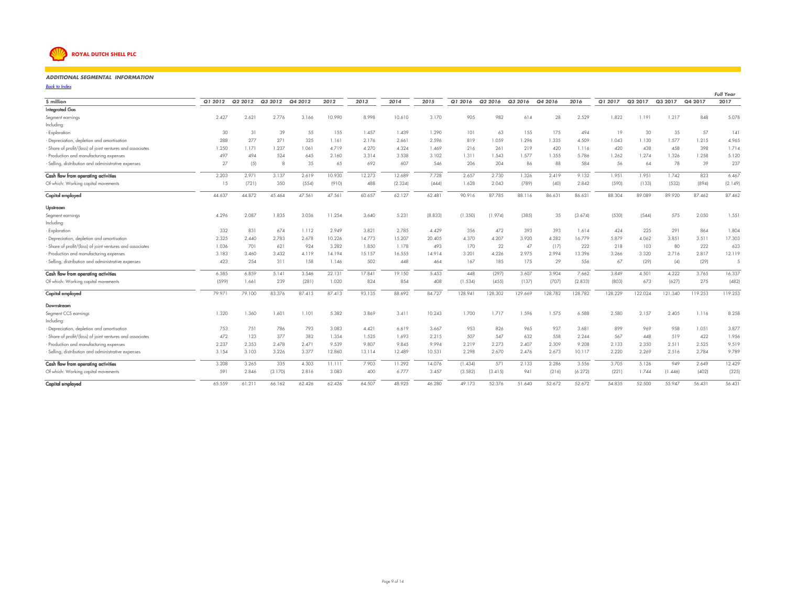

#### *ADDITIONAL SEGMENTAL INFORMATION* $73$  73  $-$

*Back to Index* $\mathbf{x}$ 

|                                                           |         |         |         |         |        |        |         |         |         |         |         |         |         |         |         |         |         | <b>Full Year</b> |
|-----------------------------------------------------------|---------|---------|---------|---------|--------|--------|---------|---------|---------|---------|---------|---------|---------|---------|---------|---------|---------|------------------|
| \$ million                                                | Q1 2012 | Q2 2012 | Q3 2012 | Q4 2012 | 2012   | 2013   | 2014    | 2015    | Q1 2016 | Q2 2016 | Q3 2016 | Q4 2016 | 2016    | Q1 2017 | Q2 2017 | Q3 2017 | Q4 2017 | 2017             |
| <b>Integrated Gas</b>                                     |         |         |         |         |        |        |         |         |         |         |         |         |         |         |         |         |         |                  |
| Segment earnings                                          | 2.427   | 2.621   | 2.776   | 3.166   | 10.990 | 8.998  | 10.610  | 3.170   | 905     | 982     | 614     | 28      | 2.529   | 1.822   | 1.191   | 1.217   | 848     | 5.078            |
| Including:                                                |         |         |         |         |        |        |         |         |         |         |         |         |         |         |         |         |         |                  |
| - Exploration                                             | 30      | 31      | 39      | 55      | 155    | 1.457  | 1.439   | 1.290   | 101     | 63      | 155     | 175     | 494     | 19      | 30      | 35      | 57      | 4                |
| - Depreciation, depletion and amortisation                | 288     | 277     | 271     | 325     | 1.161  | 2.176  | 2.661   | 2.596   | 819     | 1.059   | 1.296   | 1.335   | 4.509   | 1.043   | 1.130   | 1.577   | 1.215   | 4.965            |
| Share of profit/(loss) of joint ventures and associates   | 1.250   | 1.171   | 1.237   | 1.061   | 4.719  | 4.270  | 4.324   | 1.469   | 216     | 261     | 219     | 420     | 1.116   | 420     | 438     | 458     | 398     | 1.714            |
| - Production and manufacturing expenses                   | 497     | 494     | 524     | 645     | 2.160  | 3.314  | 3.538   | 3.102   | 1.311   | 1.543   | 1.577   | 1.355   | 5.786   | 1.262   | 1.274   | 1.326   | 1.258   | 5.120            |
| Selling, distribution and administrative expenses         | 27      | (5)     | 8       | 35      | 65     | 692    | 607     | 546     | 206     | 204     | 86      | 88      | 584     | 56      | 64      | 78      | 39      | 237              |
| Cash flow from operating activities                       | 2.203   | 2.971   | 3.137   | 2.619   | 10.930 | 12.273 | 12.689  | 7.728   | 2.657   | 2.730   | 1.326   | 2.419   | 9.132   | 1.951   | 1.951   | 1.742   | 823     | 6.467            |
| Of which: Working capital movements                       | 15      | (721)   | 350     | (554)   | (910)  | 488    | (2.324) | (444)   | 1.628   | 2.043   | (789)   | (40)    | 2.842   | (590)   | (133)   | (532)   | (894)   | (2.149)          |
| Capital employed                                          | 44.637  | 44.872  | 45.464  | 47.561  | 47.561 | 60.657 | 62.127  | 62.481  | 90.916  | 87.785  | 88.116  | 86.631  | 86.631  | 88.304  | 89.089  | 89.920  | 87.462  | 87.462           |
| Upstream                                                  |         |         |         |         |        |        |         |         |         |         |         |         |         |         |         |         |         |                  |
| Segment earnings                                          | 4.296   | 2.087   | 1.835   | 3.036   | 11.254 | 3.640  | 5.231   | (8.833) | (1.350) | (1.974) | (385)   | 35      | (3.674) | (530)   | (544)   | 575     | 2.050   | 1.551            |
| Including:                                                |         |         |         |         |        |        |         |         |         |         |         |         |         |         |         |         |         |                  |
| - Exploration                                             | 332     | 831     | 674     | 1.112   | 2.949  | 3.821  | 2.785   | 4.429   | 356     | 472     | 393     | 393     | 1.614   | 424     | 225     | 291     | 864     | 1.804            |
| - Depreciation, depletion and amortisation                | 2.325   | 2.440   | 2.783   | 2.678   | 10.226 | 14.773 | 15.207  | 20.405  | 4.370   | 4.207   | 3.920   | 4.282   | 16.779  | 5.879   | 4.062   | 3.851   | 3.511   | 17.303           |
| Share of profit/(loss) of joint ventures and associates   | 1.036   | 701     | 621     | 924     | 3.282  | 1.850  | 1.178   | 493     | 170     | 22      | 47      | (17)    | 222     | 218     | 103     | 80      | 222     | 623              |
| - Production and manufacturing expenses                   | 3.183   | 3.460   | 3.432   | 4.119   | 14.194 | 15.157 | 16.555  | 14.914  | 3.201   | 4.226   | 2.975   | 2.994   | 13.396  | 3.266   | 3.320   | 2.716   | 2.817   | 12.119           |
| Selling, distribution and administrative expenses         | 423     | 254     | 311     | 158     | 1.146  | 502    | 448     | 464     | 167     | 185     | 175     | 29      | 556     | 67      | (29)    | (4)     | (29)    | 5                |
| Cash flow from operating activities                       | 6.585   | 6.859   | 5.141   | 3.546   | 22.131 | 17.841 | 19.150  | 5.453   | 448     | (297)   | 3.607   | 3.904   | 7.662   | 3.849   | 4.501   | 4.222   | 3.765   | 16.337           |
| Of which: Working capital movements                       | (599)   | 1.661   | 239     | (281)   | 1.020  | 824    | 854     | 408     | (1.534) | (455)   | (137)   | (707)   | (2.833) | (803)   | 673     | (627)   | 275     | (482)            |
| Capital employed                                          | 79.971  | 79.100  | 83.376  | 87.413  | 87.413 | 93.135 | 88.692  | 84.727  | 128.941 | 128.302 | 129.669 | 128.782 | 128.782 | 128.229 | 122.024 | 121.340 | 119.253 | 119.253          |
| Downstream                                                |         |         |         |         |        |        |         |         |         |         |         |         |         |         |         |         |         |                  |
| Segment CCS earnings                                      | 1.320   | 1.360   | 1.601   | 1.101   | 5.382  | 3.869  | 3.411   | 10.243  | 1.700   | 1.717   | 1.596   | 1.575   | 6.588   | 2.580   | 2.157   | 2.405   | 1.116   | 8.258            |
| Including:                                                |         |         |         |         |        |        |         |         |         |         |         |         |         |         |         |         |         |                  |
| - Depreciation, depletion and amortisation                | 753     | 751     | 786     | 793     | 3.083  | 4.421  | 6.619   | 3.667   | 953     | 826     | 965     | 937     | 3.681   | 899     | 969     | 958     | 1.051   | 3.877            |
| - Share of profit/(loss) of joint ventures and associates | 472     | 123     | 377     | 382     | 1.354  | 1.525  | 1.693   | 2.215   | 507     | 547     | 632     | 558     | 2.244   | 567     | 448     | 519     | 422     | 1.956            |
| - Production and manufacturing expenses                   | 2.237   | 2.353   | 2.478   | 2.471   | 9.539  | 9.807  | 9.845   | 9.994   | 2.219   | 2.273   | 2.407   | 2.309   | 9.208   | 2.133   | 2.350   | 2.511   | 2.525   | 9.519            |
| - Selling, distribution and administrative expenses       | 3.154   | 3.103   | 3.226   | 3.377   | 12.860 | 13.114 | 12.489  | 10.531  | 2.298   | 2.670   | 2.476   | 2.673   | 10.117  | 2.220   | 2.269   | 2.516   | 2.784   | 9.789            |
| Cash flow from operating activities                       | 3.208   | 3.265   | 335     | 4.303   | 11.111 | 7.903  | 11.292  | 14.076  | (1.434) | 571     | 2.133   | 2.286   | 3.556   | 3.705   | 5.126   | 949     | 2.649   | 12.429           |
| Of which: Working capital movements                       | 591     | 2.846   | (3.170) | 2.816   | 3.083  | 400    | 6.777   | 3.457   | (3.582) | (3.415) | 941     | (216)   | (6.272) | (221)   | 1.744   | (1.446) | (402)   | (325)            |
| Capital employed                                          | 65.559  | 61.211  | 66.162  | 62.426  | 62.426 | 64.507 | 48.925  | 46.280  | 49.173  | 52.376  | 51.640  | 52.672  | 52.672  | 54.835  | 52.500  | 55.947  | 56.431  | 56.431           |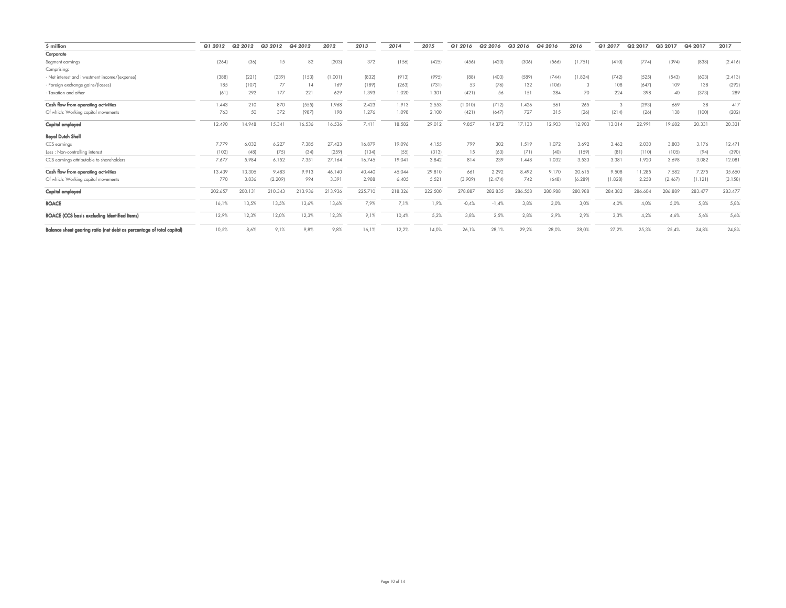| \$ million                                                            | Q1 2012 | Q2 2012 | Q3 2012 | Q4 2012 | 2012    | 2013    | 2014    | 2015    | Q1 2016 | Q2 2016 | Q3 2016 | Q4 2016 | 2016    | Q1 2017 | Q2 2017 | Q3 2017 | Q4 2017 | 2017    |
|-----------------------------------------------------------------------|---------|---------|---------|---------|---------|---------|---------|---------|---------|---------|---------|---------|---------|---------|---------|---------|---------|---------|
| Corporate                                                             |         |         |         |         |         |         |         |         |         |         |         |         |         |         |         |         |         |         |
| Segment earnings                                                      | (264)   | (36)    | 15      | 82      | (203)   | 372     | (156)   | (425)   | (456)   | (423)   | (306)   | (566)   | (1.751) | (410)   | (774)   | (394)   | (838)   | (2.416) |
| Comprising:                                                           |         |         |         |         |         |         |         |         |         |         |         |         |         |         |         |         |         |         |
| Net interest and investment income/(expense)                          | (388)   | (221)   | (239)   | (153)   | (1.001) | (832)   | (913)   | (995)   | (88)    | (403)   | (589)   | (744)   | (1.824) | (742)   | (525)   | (543)   | (603)   | (2.413) |
| Foreign exchange gains/(losses)                                       | 185     | (107)   | 77      | 14      | 169     | (189)   | (263)   | (731)   | 53      | (76)    | 132     | (106)   | З       | 108     | (647)   | 109     | 138     | (292)   |
| Taxation and other                                                    | (61)    | 292     | 177     | 221     | 629     | 1.393   | 1.020   | 1.301   | (421)   | 56      | 151     | 284     | 70      | 224     | 398     | 40      | (373)   | 289     |
| Cash flow from operating activities                                   | 1.443   | 210     | 870     | (555)   | 1.968   | 2.423   | 1.913   | 2.553   | (1.010) | (712)   | 1.426   | 561     | 265     |         | (293)   | 669     | 38      | 417     |
| Of which: Working capital movements                                   | 763     | 50      | 372     | (987)   | 198     | 1.276   | 1.098   | 2.100   | (421)   | (647)   | 727     | 315     | (26)    | (214)   | (26)    | 138     | (100)   | (202)   |
| Capital employed                                                      | 12.490  | 14.948  | 15.341  | 16.536  | 16.536  | 7.411   | 18.582  | 29.012  | 9.857   | 14.372  | 17.133  | 12.903  | 12.903  | 13.014  | 22.991  | 19.682  | 20.331  | 20.331  |
| Royal Dutch Shell                                                     |         |         |         |         |         |         |         |         |         |         |         |         |         |         |         |         |         |         |
| CCS earnings                                                          | 7.779   | 6.032   | 6.227   | 7.385   | 27.423  | 16.879  | 19.096  | 4.155   | 799     | 302     | 1.519   | 1.072   | 3.692   | 3.462   | 2.030   | 3.803   | 3.176   | 12.471  |
| Less: Non-controlling interest                                        | (102)   | (48)    | (75)    | (34)    | (259)   | (134)   | (55)    | (313)   | 15      | (63)    | (71)    | (40)    | (159)   | (81)    | (110)   | (105)   | (94)    | (390)   |
| CCS earnings attributable to shareholders                             | 7.677   | 5.984   | 6.152   | 7.351   | 27.164  | 16.745  | 19.041  | 3.842   | 814     | 239     | 1.448   | 1.032   | 3.533   | 3.381   | 1.920   | 3.698   | 3.082   | 12.081  |
| Cash flow from operating activities                                   | 13.439  | 13.305  | 9.483   | 9.913   | 46.140  | 40.440  | 45.044  | 29.810  | 661     | 2.292   | 8.492   | 9.170   | 20.615  | 9.508   | 11.285  | 7.582   | 7.275   | 35.650  |
| Of which: Working capital movements                                   | 770     | 3.836   | (2.209) | 994     | 3.391   | 2.988   | 6.405   | 5.521   | (3.909) | (2.474) | 742     | (648)   | (6.289) | (1.828) | 2.258   | (2.467) | (1.121) | (3.158) |
| Capital employed                                                      | 202.657 | 200.131 | 210.343 | 213.936 | 213.936 | 225.710 | 218.326 | 222.500 | 278.887 | 282.835 | 286.558 | 280.988 | 280.988 | 284.382 | 286.604 | 286.889 | 283.477 | 283.477 |
| <b>ROACE</b>                                                          | 16,1%   | 13,5%   | 13,5%   | 13,6%   | 13,6%   | 7,9%    | 7,1%    | 1,9%    | $-0.4%$ | $-1,4%$ | 3,8%    | 3,0%    | 3,0%    | 4,0%    | 4,0%    | 5,0%    | 5,8%    | 5,8%    |
| ROACE (CCS basis excluding Identified Items)                          | 12,9%   | 12,3%   | 12,0%   | 12,3%   | 12,3%   | 9,1%    | 10,4%   | 5,2%    | 3,8%    | 2,5%    | 2,8%    | 2,9%    | 2,9%    | 3,3%    | 4,2%    | 4,6%    | 5,6%    | 5,6%    |
| Balance sheet gearing ratio (net debt as percentage of total capital) | 10,5%   | 8,6%    | 9,1%    | 9,8%    | 9,8%    | 16,1%   | 12,2%   | 14,0%   | 26,1%   | 28,1%   | 29,2%   | 28,0%   | 28,0%   | 27,2%   | 25,3%   | 25,4%   | 24,8%   | 24,8%   |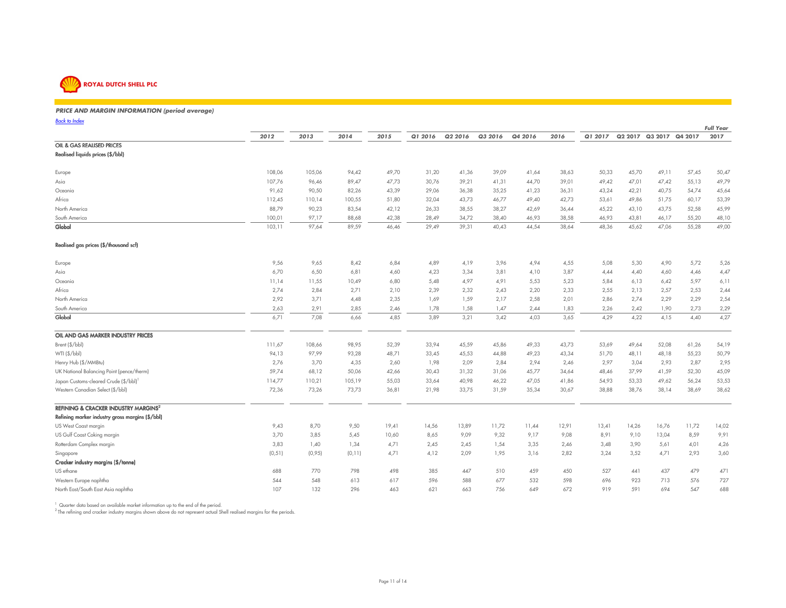

#### *PRICE AND MARGIN INFORMATION (period average)* $\frac{1}{2}$

*Back to Index*

| <b>Back to Index</b>                                       |         |        |         |       |         |         |         |         |       |         |       |                         |       | <b>Full Year</b> |
|------------------------------------------------------------|---------|--------|---------|-------|---------|---------|---------|---------|-------|---------|-------|-------------------------|-------|------------------|
|                                                            | 2012    | 2013   | 2014    | 2015  | Q1 2016 | Q2 2016 | Q3 2016 | Q4 2016 | 2016  | Q1 2017 |       | Q2 2017 Q3 2017 Q4 2017 |       | 2017             |
| OIL & GAS REALISED PRICES                                  |         |        |         |       |         |         |         |         |       |         |       |                         |       |                  |
| Realised liquids prices (\$/bbl)                           |         |        |         |       |         |         |         |         |       |         |       |                         |       |                  |
| Europe                                                     | 108,06  | 105,06 | 94,42   | 49,70 | 31,20   | 41,36   | 39,09   | 41,64   | 38,63 | 50,33   | 45,70 | 49,11                   | 57,45 | 50,47            |
| Asia                                                       | 107,76  | 96,46  | 89,47   | 47,73 | 30,76   | 39,21   | 41,31   | 44,70   | 39,01 | 49,42   | 47,01 | 47,42                   | 55,13 | 49,79            |
| Oceania                                                    | 91,62   | 90,50  | 82,26   | 43,39 | 29,06   | 36,38   | 35,25   | 41,23   | 36,31 | 43,24   | 42,21 | 40,75                   | 54,74 | 45,64            |
| Africa                                                     | 112,45  | 110,14 | 100,55  | 51,80 | 32,04   | 43,73   | 46,77   | 49,40   | 42,73 | 53,61   | 49,86 | 51,75                   | 60,17 | 53,39            |
| North America                                              | 88,79   | 90,23  | 83,54   | 42,12 | 26,33   | 38,55   | 38,27   | 42,69   | 36,44 | 45,22   | 43,10 | 43,75                   | 52,58 | 45,99            |
| South America                                              | 100,01  | 97,17  | 88,68   | 42,38 | 28,49   | 34,72   | 38,40   | 46,93   | 38,58 | 46,93   | 43,81 | 46,17                   | 55,20 | 48,10            |
| Global                                                     | 103,11  | 97,64  | 89,59   | 46,46 | 29,49   | 39,31   | 40,43   | 44,54   | 38,64 | 48,36   | 45,62 | 47,06                   | 55,28 | 49,00            |
| Realised gas prices (\$/thousand scf)                      |         |        |         |       |         |         |         |         |       |         |       |                         |       |                  |
| Europe                                                     | 9,56    | 9,65   | 8,42    | 6,84  | 4,89    | 4,19    | 3,96    | 4,94    | 4,55  | 5,08    | 5,30  | 4,90                    | 5,72  | 5,26             |
| Asia                                                       | 6,70    | 6,50   | 6,81    | 4,60  | 4,23    | 3,34    | 3,81    | 4,10    | 3,87  | 4,44    | 4,40  | 4,60                    | 4,46  | 4,47             |
| Oceania                                                    | 11,14   | 11,55  | 10,49   | 6,80  | 5,48    | 4,97    | 4,91    | 5,53    | 5,23  | 5,84    | 6,13  | 6,42                    | 5,97  | 6,11             |
| Africa                                                     | 2,74    | 2,84   | 2,71    | 2,10  | 2,39    | 2,32    | 2,43    | 2,20    | 2,33  | 2,55    | 2,13  | 2,57                    | 2,53  | 2,44             |
| North America                                              | 2,92    | 3,71   | 4,48    | 2,35  | 1,69    | 1,59    | 2,17    | 2,58    | 2,01  | 2,86    | 2,74  | 2,29                    | 2,29  | 2,54             |
| South America                                              | 2,63    | 2,91   | 2,85    | 2,46  | 1,78    | 1,58    | 1,47    | 2,44    | 1,83  | 2,26    | 2,42  | 1,90                    | 2,73  | 2,29             |
| Global                                                     | 6,71    | 7,08   | 6,66    | 4,85  | 3,89    | 3,21    | 3,42    | 4,03    | 3,65  | 4,29    | 4,22  | 4,15                    | 4,40  | 4,27             |
| OIL AND GAS MARKER INDUSTRY PRICES                         |         |        |         |       |         |         |         |         |       |         |       |                         |       |                  |
| Brent (\$/bbl)                                             | 111,67  | 108,66 | 98,95   | 52,39 | 33,94   | 45,59   | 45,86   | 49,33   | 43,73 | 53,69   | 49,64 | 52,08                   | 61,26 | 54,19            |
| WTI (\$/bbl)                                               | 94,13   | 97,99  | 93,28   | 48,71 | 33,45   | 45,53   | 44,88   | 49,23   | 43,34 | 51,70   | 48,11 | 48,18                   | 55,23 | 50,79            |
| Henry Hub (\$/MMBtu)                                       | 2,76    | 3,70   | 4,35    | 2,60  | 1,98    | 2,09    | 2,84    | 2,94    | 2,46  | 2,97    | 3,04  | 2,93                    | 2,87  | 2,95             |
| UK National Balancing Point (pence/therm)                  | 59,74   | 68,12  | 50,06   | 42,66 | 30,43   | 31,32   | 31,06   | 45,77   | 34,64 | 48,46   | 37,99 | 41,59                   | 52,30 | 45,09            |
| Japan Customs-cleared Crude (\$/bbl)                       | 114,77  | 110,21 | 105,19  | 55,03 | 33,64   | 40,98   | 46,22   | 47,05   | 41,86 | 54,93   | 53,33 | 49,62                   | 56,24 | 53,53            |
| Western Canadian Select (\$/bbl)                           | 72,36   | 73,26  | 73,73   | 36,81 | 21,98   | 33,75   | 31,59   | 35,34   | 30,67 | 38,88   | 38,76 | 38,14                   | 38,69 | 38,62            |
| <b>REFINING &amp; CRACKER INDUSTRY MARGINS<sup>2</sup></b> |         |        |         |       |         |         |         |         |       |         |       |                         |       |                  |
| Refining marker industry gross margins (\$/bbl)            |         |        |         |       |         |         |         |         |       |         |       |                         |       |                  |
| US West Coast margin                                       | 9,43    | 8,70   | 9,50    | 19,41 | 14,56   | 13,89   | 11,72   | 11,44   | 12,91 | 13,41   | 14,26 | 16,76                   | 11,72 | 14,02            |
| US Gulf Coast Coking margin                                | 3,70    | 3,85   | 5,45    | 10,60 | 8,65    | 9,09    | 9,32    | 9,17    | 9,08  | 8,91    | 9,10  | 13,04                   | 8,59  | 9,91             |
| Rotterdam Complex margin                                   | 3,83    | 1,40   | 1,34    | 4,71  | 2,45    | 2,45    | 1,54    | 3,35    | 2,46  | 3,48    | 3,90  | 5,61                    | 4,01  | 4,26             |
| Singapore                                                  | (0, 51) | (0,95) | (0, 11) | 4,71  | 4,12    | 2,09    | 1,95    | 3,16    | 2,82  | 3,24    | 3,52  | 4,71                    | 2,93  | 3,60             |
| Cracker industry margins (\$/tonne)                        |         |        |         |       |         |         |         |         |       |         |       |                         |       |                  |
| US ethane                                                  | 688     | 770    | 798     | 498   | 385     | 447     | 510     | 459     | 450   | 527     | 441   | 437                     | 479   | 471              |
| Western Europe naphtha                                     | 544     | 548    | 613     | 617   | 596     | 588     | 677     | 532     | 598   | 696     | 923   | 713                     | 576   | 727              |
| North East/South East Asia naphtha                         | 107     | 132    | 296     | 463   | 621     | 663     | 756     | 649     | 672   | 919     | 591   | 694                     | 547   | 688              |

<sup>1</sup> Quarter data based on available market information up to the end of the period.<br><sup>2</sup> The refining and cracker industry margins shown above do not represent actual Shell realised margins for the periods.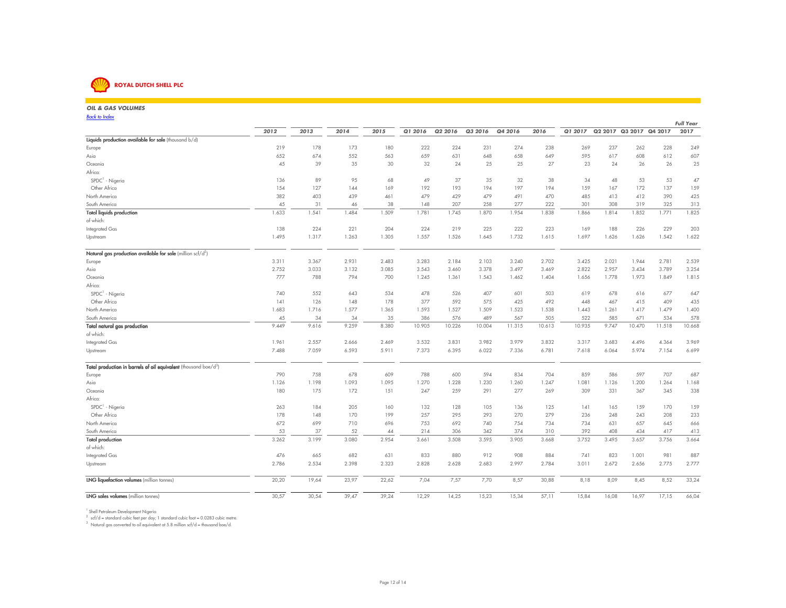

#### *OIL & GAS VOLUMES* $\mathbf{S}$ *Back to IndexFull Year*2017 *<sup>2012</sup> <sup>2013</sup> <sup>2014</sup> <sup>2015</sup> Q1 2016 Q2 2016 Q3 2016 Q4 2016 <sup>2016</sup> Q1 2017* **Q2 2017 Q3 2017 Q4 2017 <sup>2017</sup> Liquids production available for sale** (thousand  $b/d$ ) Europe <sup>219</sup> <sup>178</sup> <sup>173</sup> <sup>180</sup> <sup>222</sup> <sup>224</sup> <sup>231</sup> <sup>274</sup> <sup>238</sup> <sup>269</sup> <sup>237</sup> <sup>262</sup> <sup>228</sup> <sup>249</sup>607 Asia <sup>652</sup> <sup>674</sup> <sup>552</sup> <sup>563</sup> <sup>659</sup> <sup>631</sup> <sup>648</sup> <sup>658</sup> <sup>649</sup> <sup>595</sup> <sup>617</sup> <sup>608</sup> <sup>612</sup> <sup>607</sup>25 Oceania <sup>45</sup> <sup>39</sup> <sup>35</sup> <sup>30</sup> <sup>32</sup> <sup>24</sup> <sup>25</sup> <sup>25</sup> <sup>27</sup> <sup>23</sup> <sup>24</sup> <sup>26</sup> <sup>26</sup> <sup>25</sup>Africa:SPDC<sup>1</sup> - Nigeria <sup>136</sup> <sup>89</sup> <sup>95</sup> <sup>68</sup> <sup>49</sup> <sup>37</sup> <sup>35</sup> <sup>32</sup> <sup>38</sup> <sup>34</sup> <sup>48</sup> <sup>53</sup> <sup>53</sup> <sup>47</sup> Other Africa <sup>154</sup> <sup>127</sup> <sup>144</sup> <sup>169</sup> <sup>192</sup> <sup>193</sup> <sup>194</sup> <sup>197</sup> <sup>194</sup> <sup>159</sup> <sup>167</sup> <sup>172</sup> <sup>137</sup> <sup>159</sup>425 North America <sup>382</sup> <sup>403</sup> <sup>439</sup> <sup>461</sup> <sup>479</sup> <sup>429</sup> <sup>479</sup> <sup>491</sup> <sup>470</sup> <sup>485</sup> <sup>413</sup> <sup>412</sup> <sup>390</sup> <sup>425</sup>313 South America <sup>45</sup> <sup>31</sup> <sup>46</sup> <sup>38</sup> <sup>148</sup> <sup>207</sup> <sup>258</sup> <sup>277</sup> <sup>222</sup> <sup>301</sup> <sup>308</sup> <sup>319</sup> <sup>325</sup> <sup>313</sup>1.825 Total liquids production 1.633 1.541 1.484 1.509 1.781 1.745 1.870 1.954 1.838 1.866 1.814 1.852 1.771 1.825of which: Integrated Gas <sup>138</sup> <sup>224</sup> <sup>221</sup> <sup>204</sup> <sup>224</sup> <sup>219</sup> <sup>225</sup> <sup>222</sup> <sup>223</sup> <sup>169</sup> <sup>188</sup> <sup>226</sup> <sup>229</sup> <sup>203</sup>1.622 Upstream 1.495 1.317 1.263 1.305 1.557 1.526 1.645 1.732 1.615 1.697 1.626 1.626 1.542 1.622 Natural gas production available for sale (million  $\text{scf/d}^2$ ) Europe 3.311 3.367 2.931 2.483 3.283 2.184 2.103 3.240 2.702 3.425 2.021 1.944 2.781 2.5393.254 Asia 2.752 3.033 3.132 3.085 3.543 3.460 3.378 3.497 3.469 2.822 2.957 3.434 3.789 3.2541.815 Oceania <sup>777</sup> <sup>788</sup> <sup>794</sup> <sup>700</sup> 1.245 1.361 1.543 1.462 1.404 1.656 1.778 1.973 1.849 1.815Africa:SPDC<sup>1</sup> - Nigeria <sup>740</sup> <sup>552</sup> <sup>643</sup> <sup>534</sup> <sup>478</sup> <sup>526</sup> <sup>407</sup> <sup>601</sup> <sup>503</sup> <sup>619</sup> <sup>678</sup> <sup>616</sup> <sup>677</sup> <sup>647</sup> Other Africa141 126 148 377 592 575 425 492 448 467 415 409 435 ك 1.400 North America 1.683 1.716 1.577 1.365 1.593 1.527 1.509 1.523 1.538 1.443 1.261 1.417 1.479 1.400578 South America45 4578 34 378 34 34 3578 34 358 376 386 576 489 567 505 522 585 671 534 578 وكسب السياسي المستقبل المستقبل ال 10.668 Total natural gas production 9.449 9.616 9.259 8.380 10.905 10.226 10.004 11.315 10.613 10.935 9.747 10.470 11.518 10.668of which: Integrated Gas 1.961 2.557 2.666 2.469 3.532 3.831 3.982 3.979 3.832 3.317 3.683 4.496 4.364 3.9696.699 Upstream 7.488 7.059 6.593 5.911 7.373 6.395 6.022 7.336 6.781 7.618 6.064 5.974 7.154 6.699 Total production in barrels of oil equivalent (thousand boe/d $^3$ ) Europe <sup>790</sup> <sup>758</sup> <sup>678</sup> <sup>609</sup> <sup>788</sup> <sup>600</sup> <sup>594</sup> <sup>834</sup> <sup>704</sup> <sup>859</sup> <sup>586</sup> <sup>597</sup> <sup>707</sup> <sup>687</sup>1.168 Asia 1.126 1.198 1.093 1.095 1.270 1.228 1.230 1.260 1.247 1.081 1.126 1.200 1.264 1.168338 Oceania <sup>180</sup> <sup>175</sup> <sup>172</sup> <sup>151</sup> <sup>247</sup> <sup>259</sup> <sup>291</sup> <sup>277</sup> <sup>269</sup> <sup>309</sup> <sup>331</sup> <sup>367</sup> <sup>345</sup> <sup>338</sup>Africa:SPDC<sup>1</sup> - Nigeria <sup>263</sup> <sup>184</sup> <sup>205</sup> <sup>160</sup> <sup>132</sup> <sup>128</sup> <sup>105</sup> <sup>136</sup> <sup>125</sup> <sup>141</sup> <sup>165</sup> <sup>159</sup> <sup>170</sup> <sup>159</sup> Other Africa <sup>178</sup> <sup>148</sup> <sup>170</sup> <sup>199</sup> <sup>257</sup> <sup>295</sup> <sup>293</sup> <sup>270</sup> <sup>279</sup> <sup>236</sup> <sup>248</sup> <sup>243</sup> <sup>208</sup> <sup>233</sup>666 North America <sup>672</sup> <sup>699</sup> <sup>710</sup> <sup>696</sup> <sup>753</sup> <sup>692</sup> <sup>740</sup> <sup>754</sup> <sup>734</sup> <sup>734</sup> <sup>631</sup> <sup>657</sup> <sup>645</sup> <sup>666</sup>413 South America <sup>53</sup> <sup>37</sup> <sup>52</sup> <sup>44</sup> <sup>214</sup> <sup>306</sup> <sup>342</sup> <sup>374</sup> <sup>310</sup> <sup>392</sup> <sup>408</sup> <sup>434</sup> <sup>417</sup> <sup>413</sup>3.664 Total production 3.262 3.199 3.080 2.954 3.661 3.508 3.595 3.905 3.668 3.752 3.495 3.657 3.756 3.664of which:Integrated Gas <sup>476</sup> <sup>665</sup> <sup>682</sup> <sup>631</sup> <sup>833</sup> <sup>880</sup> <sup>912</sup> <sup>908</sup> <sup>884</sup> <sup>741</sup> <sup>823</sup> 1.001 <sup>981</sup> <sup>887</sup>2.777 Upstream 2.786 2.534 2.398 2.323 2.828 2.628 2.683 2.997 2.784 3.011 2.672 2.656 2.775 2.777 **LNG liquefaction volumes** (million tonnes) 20,20 19,64 23,97 22,62 7,04 7,57 7,70 8,57 30,88 8,18 8,09 8,45 8,52 33,24LNG sales volumes (million tonnes)

<sup>1</sup> Shell Petroleum Development Nigeria

 $2^{2}$  scf/d = standard cubic feet per day; 1 standard cubic foot = 0.0283 cubic metre.

 $3$  Natural gas converted to oil equivalent at 5.8 million scf/d = thousand boe/d.

LNG 30,57 30,54 39,47 39,24 12,29 14,25 15,23 15,34 57,11 15,84 16,08 16,97 17,15 66,04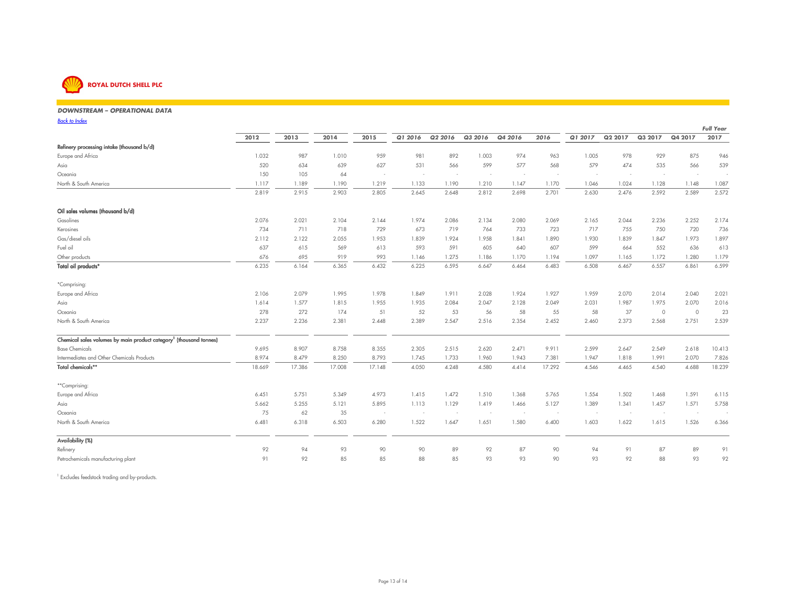

#### *DOWNSTREAM – OPERATIONAL DATA* $80$

*Back to Index* $\frac{8}{8}$ 

|                                                                                |        |        |        |        |         |         |         |         |        |                          |         |         |         | <b>Full Year</b> |
|--------------------------------------------------------------------------------|--------|--------|--------|--------|---------|---------|---------|---------|--------|--------------------------|---------|---------|---------|------------------|
|                                                                                | 2012   | 2013   | 2014   | 2015   | Q1 2016 | Q2 2016 | Q3 2016 | Q4 2016 | 2016   | Q1 2017                  | Q2 2017 | Q3 2017 | Q4 2017 | 2017             |
| Refinery processing intake (thousand b/d)                                      |        |        |        |        |         |         |         |         |        |                          |         |         |         |                  |
| Europe and Africa                                                              | 1.032  | 987    | 1.010  | 959    | 981     | 892     | 1.003   | 974     | 963    | 1.005                    | 978     | 929     | 875     | 946              |
| Asia                                                                           | 520    | 634    | 639    | 627    | 531     | 566     | 599     | 577     | 568    | 579                      | 474     | 535     | 566     | 539              |
| Oceania                                                                        | 150    | 105    | 64     | $\sim$ | $\sim$  | $\sim$  | $\sim$  | $\sim$  | $\sim$ | $\overline{\phantom{a}}$ |         |         | $\sim$  | ٠                |
| North & South America                                                          | 1.117  | 1.189  | 1.190  | 1.219  | 1.133   | 1.190   | 1.210   | 1.147   | 1.170  | 1.046                    | 1.024   | 1.128   | 1.148   | 1.087            |
|                                                                                | 2.819  | 2.915  | 2.903  | 2.805  | 2.645   | 2.648   | 2.812   | 2.698   | 2.701  | 2.630                    | 2.476   | 2.592   | 2.589   | 2.572            |
| Oil sales volumes (thousand b/d)                                               |        |        |        |        |         |         |         |         |        |                          |         |         |         |                  |
| Gasolines                                                                      | 2.076  | 2.021  | 2.104  | 2.144  | 1.974   | 2.086   | 2.134   | 2.080   | 2.069  | 2.165                    | 2.044   | 2.236   | 2.252   | 2.174            |
| Kerosines                                                                      | 734    | 711    | 718    | 729    | 673     | 719     | 764     | 733     | 723    | 717                      | 755     | 750     | 720     | 736              |
| Gas/diesel oils                                                                | 2.112  | 2.122  | 2.055  | 1.953  | 1.839   | 1.924   | 1.958   | 1.841   | 1.890  | 1.930                    | 1.839   | 1.847   | 1.973   | 1.897            |
| Fuel oil                                                                       | 637    | 615    | 569    | 613    | 593     | 591     | 605     | 640     | 607    | 599                      | 664     | 552     | 636     | 613              |
| Other products                                                                 | 676    | 695    | 919    | 993    | 1.146   | 1.275   | 1.186   | 1.170   | 1.194  | 1.097                    | 1.165   | 1.172   | 1.280   | 1.179            |
| Total oil products <sup>*</sup>                                                | 6.235  | 6.164  | 6.365  | 6.432  | 6.225   | 6.595   | 6.647   | 6.464   | 6.483  | 6.508                    | 6.467   | 6.557   | 6.861   | 6.599            |
| *Comprising:                                                                   |        |        |        |        |         |         |         |         |        |                          |         |         |         |                  |
| Europe and Africa                                                              | 2.106  | 2.079  | 1.995  | 1.978  | 1.849   | 1.911   | 2.028   | 1.924   | 1.927  | 1.959                    | 2.070   | 2.014   | 2.040   | 2.021            |
| Asia                                                                           | 1.614  | 1.577  | 1.815  | 1.955  | 1.935   | 2.084   | 2.047   | 2.128   | 2.049  | 2.031                    | 1.987   | 1.975   | 2.070   | 2.016            |
| Oceania                                                                        | 278    | 272    | 174    | 51     | 52      | 53      | 56      | 58      | 55     | 58                       | 37      | $\circ$ | $\circ$ | 23               |
| North & South America                                                          | 2.237  | 2.236  | 2.381  | 2.448  | 2.389   | 2.547   | 2.516   | 2.354   | 2.452  | 2.460                    | 2.373   | 2.568   | 2.751   | 2.539            |
| Chemical sales volumes by main product category <sup>1</sup> (thousand tonnes) |        |        |        |        |         |         |         |         |        |                          |         |         |         |                  |
| <b>Base Chemicals</b>                                                          | 9.695  | 8.907  | 8.758  | 8.355  | 2.305   | 2.515   | 2.620   | 2.471   | 9.911  | 2.599                    | 2.647   | 2.549   | 2.618   | 10.413           |
| Intermediates and Other Chemicals Products                                     | 8.974  | 8.479  | 8.250  | 8.793  | 1.745   | 1.733   | 1.960   | 1.943   | 7.381  | 1.947                    | 1.818   | 1.991   | 2.070   | 7.826            |
| Total chemicals**                                                              | 18.669 | 17.386 | 17.008 | 17.148 | 4.050   | 4.248   | 4.580   | 4.414   | 17.292 | 4.546                    | 4.465   | 4.540   | 4.688   | 18.239           |
| **Comprising:                                                                  |        |        |        |        |         |         |         |         |        |                          |         |         |         |                  |
| Europe and Africa                                                              | 6.451  | 5.751  | 5.349  | 4.973  | 1.415   | 1.472   | 1.510   | 1.368   | 5.765  | 1.554                    | 1.502   | 1.468   | 1.591   | 6.115            |
| Asia                                                                           | 5.662  | 5.255  | 5.121  | 5.895  | 1.113   | 1.129   | 1.419   | 1.466   | 5.127  | 1.389                    | 1.341   | 1.457   | 1.571   | 5.758            |
| Oceania                                                                        | 75     | 62     | 35     | $\sim$ | $\sim$  | $\sim$  | $\sim$  | $\sim$  | $\sim$ |                          |         | $\sim$  | $\sim$  | ÷.               |
| North & South America                                                          | 6.481  | 6.318  | 6.503  | 6.280  | 1.522   | 1.647   | 1.651   | 1.580   | 6.400  | 1.603                    | 1.622   | 1.615   | 1.526   | 6.366            |
| Availability (%)                                                               |        |        |        |        |         |         |         |         |        |                          |         |         |         |                  |
| Refinery                                                                       | 92     | 94     | 93     | 90     | 90      | 89      | 92      | 87      | 90     | 94                       | 91      | 87      | 89      | 91               |
| Petrochemicals manufacturing plant                                             | 91     | 92     | 85     | 85     | 88      | 85      | 93      | 93      | 90     | 93                       | 92      | 88      | 93      | 92               |

<sup>1</sup> Excludes feedstock trading and by-products.